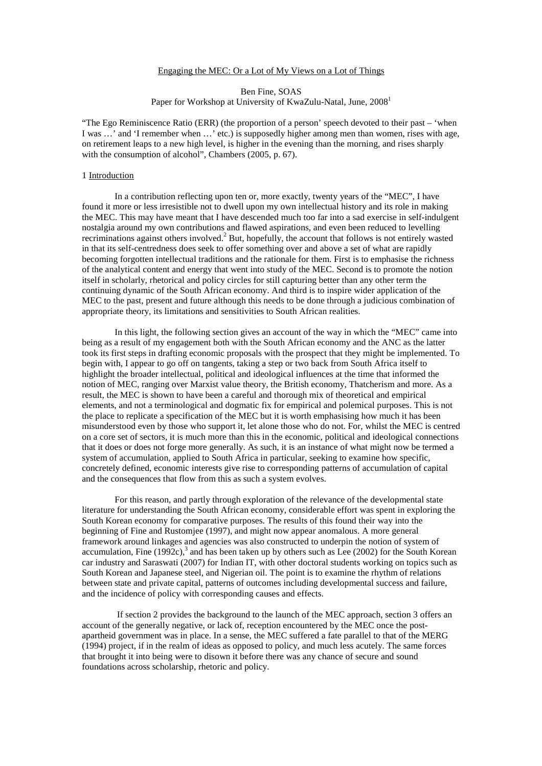#### Engaging the MEC: Or a Lot of My Views on a Lot of Things

# Ben Fine, SOAS

Paper for Workshop at University of KwaZulu-Natal, June, 2008<sup>1</sup>

"The Ego Reminiscence Ratio (ERR) (the proportion of a person' speech devoted to their past – 'when I was …' and 'I remember when …' etc.) is supposedly higher among men than women, rises with age, on retirement leaps to a new high level, is higher in the evening than the morning, and rises sharply with the consumption of alcohol", Chambers (2005, p. 67).

## 1 Introduction

 In a contribution reflecting upon ten or, more exactly, twenty years of the "MEC", I have found it more or less irresistible not to dwell upon my own intellectual history and its role in making the MEC. This may have meant that I have descended much too far into a sad exercise in self-indulgent nostalgia around my own contributions and flawed aspirations, and even been reduced to levelling recriminations against others involved. $2$  But, hopefully, the account that follows is not entirely wasted in that its self-centredness does seek to offer something over and above a set of what are rapidly becoming forgotten intellectual traditions and the rationale for them. First is to emphasise the richness of the analytical content and energy that went into study of the MEC. Second is to promote the notion itself in scholarly, rhetorical and policy circles for still capturing better than any other term the continuing dynamic of the South African economy. And third is to inspire wider application of the MEC to the past, present and future although this needs to be done through a judicious combination of appropriate theory, its limitations and sensitivities to South African realities.

 In this light, the following section gives an account of the way in which the "MEC" came into being as a result of my engagement both with the South African economy and the ANC as the latter took its first steps in drafting economic proposals with the prospect that they might be implemented. To begin with, I appear to go off on tangents, taking a step or two back from South Africa itself to highlight the broader intellectual, political and ideological influences at the time that informed the notion of MEC, ranging over Marxist value theory, the British economy, Thatcherism and more. As a result, the MEC is shown to have been a careful and thorough mix of theoretical and empirical elements, and not a terminological and dogmatic fix for empirical and polemical purposes. This is not the place to replicate a specification of the MEC but it is worth emphasising how much it has been misunderstood even by those who support it, let alone those who do not. For, whilst the MEC is centred on a core set of sectors, it is much more than this in the economic, political and ideological connections that it does or does not forge more generally. As such, it is an instance of what might now be termed a system of accumulation, applied to South Africa in particular, seeking to examine how specific, concretely defined, economic interests give rise to corresponding patterns of accumulation of capital and the consequences that flow from this as such a system evolves.

For this reason, and partly through exploration of the relevance of the developmental state literature for understanding the South African economy, considerable effort was spent in exploring the South Korean economy for comparative purposes. The results of this found their way into the beginning of Fine and Rustomjee (1997), and might now appear anomalous. A more general framework around linkages and agencies was also constructed to underpin the notion of system of accumulation, Fine  $(1992c)$ ,<sup>3</sup> and has been taken up by others such as Lee  $(2002)$  for the South Korean car industry and Saraswati (2007) for Indian IT, with other doctoral students working on topics such as South Korean and Japanese steel, and Nigerian oil. The point is to examine the rhythm of relations between state and private capital, patterns of outcomes including developmental success and failure, and the incidence of policy with corresponding causes and effects.

 If section 2 provides the background to the launch of the MEC approach, section 3 offers an account of the generally negative, or lack of, reception encountered by the MEC once the postapartheid government was in place. In a sense, the MEC suffered a fate parallel to that of the MERG (1994) project, if in the realm of ideas as opposed to policy, and much less acutely. The same forces that brought it into being were to disown it before there was any chance of secure and sound foundations across scholarship, rhetoric and policy.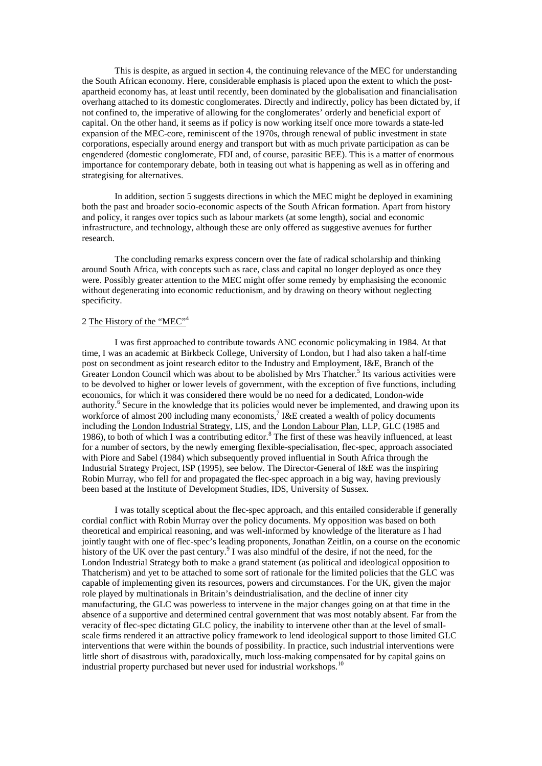This is despite, as argued in section 4, the continuing relevance of the MEC for understanding the South African economy. Here, considerable emphasis is placed upon the extent to which the postapartheid economy has, at least until recently, been dominated by the globalisation and financialisation overhang attached to its domestic conglomerates. Directly and indirectly, policy has been dictated by, if not confined to, the imperative of allowing for the conglomerates' orderly and beneficial export of capital. On the other hand, it seems as if policy is now working itself once more towards a state-led expansion of the MEC-core, reminiscent of the 1970s, through renewal of public investment in state corporations, especially around energy and transport but with as much private participation as can be engendered (domestic conglomerate, FDI and, of course, parasitic BEE). This is a matter of enormous importance for contemporary debate, both in teasing out what is happening as well as in offering and strategising for alternatives.

In addition, section 5 suggests directions in which the MEC might be deployed in examining both the past and broader socio-economic aspects of the South African formation. Apart from history and policy, it ranges over topics such as labour markets (at some length), social and economic infrastructure, and technology, although these are only offered as suggestive avenues for further research.

The concluding remarks express concern over the fate of radical scholarship and thinking around South Africa, with concepts such as race, class and capital no longer deployed as once they were. Possibly greater attention to the MEC might offer some remedy by emphasising the economic without degenerating into economic reductionism, and by drawing on theory without neglecting specificity.

#### 2 The History of the "MEC"<sup>4</sup>

I was first approached to contribute towards ANC economic policymaking in 1984. At that time, I was an academic at Birkbeck College, University of London, but I had also taken a half-time post on secondment as joint research editor to the Industry and Employment, I&E, Branch of the Greater London Council which was about to be abolished by Mrs Thatcher.<sup>5</sup> Its various activities were to be devolved to higher or lower levels of government, with the exception of five functions, including economics, for which it was considered there would be no need for a dedicated, London-wide authority.<sup>6</sup> Secure in the knowledge that its policies would never be implemented, and drawing upon its workforce of almost 200 including many economists,<sup>7</sup> I&E created a wealth of policy documents including the London Industrial Strategy, LIS, and the London Labour Plan, LLP, GLC (1985 and 1986), to both of which I was a contributing editor.<sup>8</sup> The first of these was heavily influenced, at least for a number of sectors, by the newly emerging flexible-specialisation, flec-spec, approach associated with Piore and Sabel (1984) which subsequently proved influential in South Africa through the Industrial Strategy Project, ISP (1995), see below. The Director-General of I&E was the inspiring Robin Murray, who fell for and propagated the flec-spec approach in a big way, having previously been based at the Institute of Development Studies, IDS, University of Sussex.

I was totally sceptical about the flec-spec approach, and this entailed considerable if generally cordial conflict with Robin Murray over the policy documents. My opposition was based on both theoretical and empirical reasoning, and was well-informed by knowledge of the literature as I had jointly taught with one of flec-spec's leading proponents, Jonathan Zeitlin, on a course on the economic history of the UK over the past century.<sup>9</sup> I was also mindful of the desire, if not the need, for the London Industrial Strategy both to make a grand statement (as political and ideological opposition to Thatcherism) and yet to be attached to some sort of rationale for the limited policies that the GLC was capable of implementing given its resources, powers and circumstances. For the UK, given the major role played by multinationals in Britain's deindustrialisation, and the decline of inner city manufacturing, the GLC was powerless to intervene in the major changes going on at that time in the absence of a supportive and determined central government that was most notably absent. Far from the veracity of flec-spec dictating GLC policy, the inability to intervene other than at the level of smallscale firms rendered it an attractive policy framework to lend ideological support to those limited GLC interventions that were within the bounds of possibility. In practice, such industrial interventions were little short of disastrous with, paradoxically, much loss-making compensated for by capital gains on industrial property purchased but never used for industrial workshops.<sup>10</sup>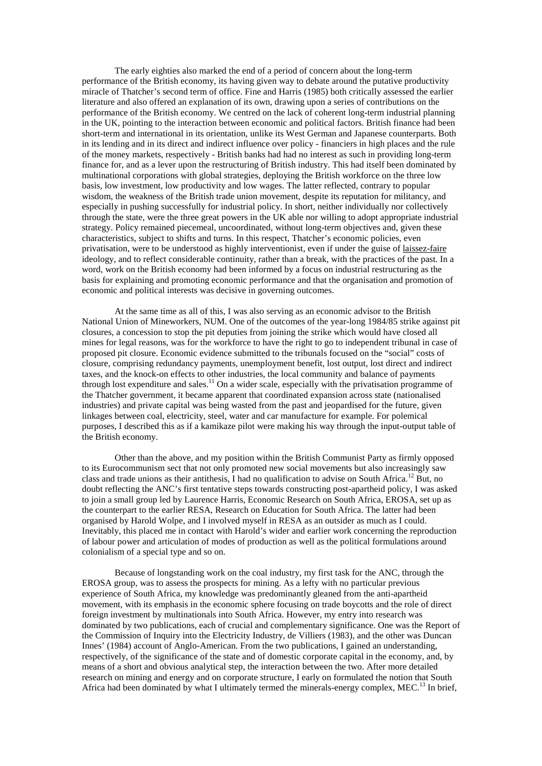The early eighties also marked the end of a period of concern about the long-term performance of the British economy, its having given way to debate around the putative productivity miracle of Thatcher's second term of office. Fine and Harris (1985) both critically assessed the earlier literature and also offered an explanation of its own, drawing upon a series of contributions on the performance of the British economy. We centred on the lack of coherent long-term industrial planning in the UK, pointing to the interaction between economic and political factors. British finance had been short-term and international in its orientation, unlike its West German and Japanese counterparts. Both in its lending and in its direct and indirect influence over policy - financiers in high places and the rule of the money markets, respectively - British banks had had no interest as such in providing long-term finance for, and as a lever upon the restructuring of British industry. This had itself been dominated by multinational corporations with global strategies, deploying the British workforce on the three low basis, low investment, low productivity and low wages. The latter reflected, contrary to popular wisdom, the weakness of the British trade union movement, despite its reputation for militancy, and especially in pushing successfully for industrial policy. In short, neither individually nor collectively through the state, were the three great powers in the UK able nor willing to adopt appropriate industrial strategy. Policy remained piecemeal, uncoordinated, without long-term objectives and, given these characteristics, subject to shifts and turns. In this respect, Thatcher's economic policies, even privatisation, were to be understood as highly interventionist, even if under the guise of laissez-faire ideology, and to reflect considerable continuity, rather than a break, with the practices of the past. In a word, work on the British economy had been informed by a focus on industrial restructuring as the basis for explaining and promoting economic performance and that the organisation and promotion of economic and political interests was decisive in governing outcomes.

At the same time as all of this, I was also serving as an economic advisor to the British National Union of Mineworkers, NUM. One of the outcomes of the year-long 1984/85 strike against pit closures, a concession to stop the pit deputies from joining the strike which would have closed all mines for legal reasons, was for the workforce to have the right to go to independent tribunal in case of proposed pit closure. Economic evidence submitted to the tribunals focused on the "social" costs of closure, comprising redundancy payments, unemployment benefit, lost output, lost direct and indirect taxes, and the knock-on effects to other industries, the local community and balance of payments through lost expenditure and sales.<sup>11</sup> On a wider scale, especially with the privatisation programme of the Thatcher government, it became apparent that coordinated expansion across state (nationalised industries) and private capital was being wasted from the past and jeopardised for the future, given linkages between coal, electricity, steel, water and car manufacture for example. For polemical purposes, I described this as if a kamikaze pilot were making his way through the input-output table of the British economy.

Other than the above, and my position within the British Communist Party as firmly opposed to its Eurocommunism sect that not only promoted new social movements but also increasingly saw class and trade unions as their antithesis, I had no qualification to advise on South Africa.<sup>12</sup> But, no doubt reflecting the ANC's first tentative steps towards constructing post-apartheid policy, I was asked to join a small group led by Laurence Harris, Economic Research on South Africa, EROSA, set up as the counterpart to the earlier RESA, Research on Education for South Africa. The latter had been organised by Harold Wolpe, and I involved myself in RESA as an outsider as much as I could. Inevitably, this placed me in contact with Harold's wider and earlier work concerning the reproduction of labour power and articulation of modes of production as well as the political formulations around colonialism of a special type and so on.

Because of longstanding work on the coal industry, my first task for the ANC, through the EROSA group, was to assess the prospects for mining. As a lefty with no particular previous experience of South Africa, my knowledge was predominantly gleaned from the anti-apartheid movement, with its emphasis in the economic sphere focusing on trade boycotts and the role of direct foreign investment by multinationals into South Africa. However, my entry into research was dominated by two publications, each of crucial and complementary significance. One was the Report of the Commission of Inquiry into the Electricity Industry, de Villiers (1983), and the other was Duncan Innes' (1984) account of Anglo-American. From the two publications, I gained an understanding, respectively, of the significance of the state and of domestic corporate capital in the economy, and, by means of a short and obvious analytical step, the interaction between the two. After more detailed research on mining and energy and on corporate structure, I early on formulated the notion that South Africa had been dominated by what I ultimately termed the minerals-energy complex, MEC.<sup>13</sup> In brief,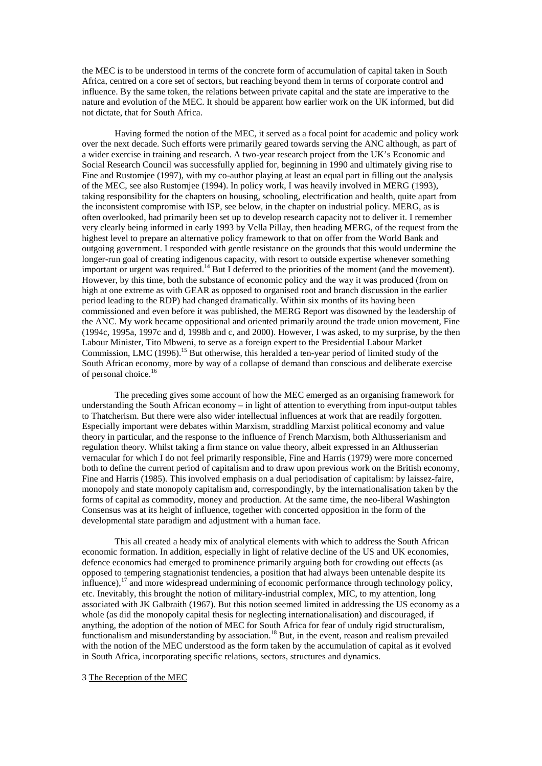the MEC is to be understood in terms of the concrete form of accumulation of capital taken in South Africa, centred on a core set of sectors, but reaching beyond them in terms of corporate control and influence. By the same token, the relations between private capital and the state are imperative to the nature and evolution of the MEC. It should be apparent how earlier work on the UK informed, but did not dictate, that for South Africa.

Having formed the notion of the MEC, it served as a focal point for academic and policy work over the next decade. Such efforts were primarily geared towards serving the ANC although, as part of a wider exercise in training and research. A two-year research project from the UK's Economic and Social Research Council was successfully applied for, beginning in 1990 and ultimately giving rise to Fine and Rustomjee (1997), with my co-author playing at least an equal part in filling out the analysis of the MEC, see also Rustomjee (1994). In policy work, I was heavily involved in MERG (1993), taking responsibility for the chapters on housing, schooling, electrification and health, quite apart from the inconsistent compromise with ISP, see below, in the chapter on industrial policy. MERG, as is often overlooked, had primarily been set up to develop research capacity not to deliver it. I remember very clearly being informed in early 1993 by Vella Pillay, then heading MERG, of the request from the highest level to prepare an alternative policy framework to that on offer from the World Bank and outgoing government. I responded with gentle resistance on the grounds that this would undermine the longer-run goal of creating indigenous capacity, with resort to outside expertise whenever something important or urgent was required.<sup>14</sup> But I deferred to the priorities of the moment (and the movement). However, by this time, both the substance of economic policy and the way it was produced (from on high at one extreme as with GEAR as opposed to organised root and branch discussion in the earlier period leading to the RDP) had changed dramatically. Within six months of its having been commissioned and even before it was published, the MERG Report was disowned by the leadership of the ANC. My work became oppositional and oriented primarily around the trade union movement, Fine (1994c, 1995a, 1997c and d, 1998b and c, and 2000). However, I was asked, to my surprise, by the then Labour Minister, Tito Mbweni, to serve as a foreign expert to the Presidential Labour Market Commission, LMC (1996).<sup>15</sup> But otherwise, this heralded a ten-year period of limited study of the South African economy, more by way of a collapse of demand than conscious and deliberate exercise of personal choice.<sup>16</sup>

 The preceding gives some account of how the MEC emerged as an organising framework for understanding the South African economy – in light of attention to everything from input-output tables to Thatcherism. But there were also wider intellectual influences at work that are readily forgotten. Especially important were debates within Marxism, straddling Marxist political economy and value theory in particular, and the response to the influence of French Marxism, both Althusserianism and regulation theory. Whilst taking a firm stance on value theory, albeit expressed in an Althusserian vernacular for which I do not feel primarily responsible, Fine and Harris (1979) were more concerned both to define the current period of capitalism and to draw upon previous work on the British economy, Fine and Harris (1985). This involved emphasis on a dual periodisation of capitalism: by laissez-faire, monopoly and state monopoly capitalism and, correspondingly, by the internationalisation taken by the forms of capital as commodity, money and production. At the same time, the neo-liberal Washington Consensus was at its height of influence, together with concerted opposition in the form of the developmental state paradigm and adjustment with a human face.

 This all created a heady mix of analytical elements with which to address the South African economic formation. In addition, especially in light of relative decline of the US and UK economies, defence economics had emerged to prominence primarily arguing both for crowding out effects (as opposed to tempering stagnationist tendencies, a position that had always been untenable despite its influence), $17$  and more widespread undermining of economic performance through technology policy, etc. Inevitably, this brought the notion of military-industrial complex, MIC, to my attention, long associated with JK Galbraith (1967). But this notion seemed limited in addressing the US economy as a whole (as did the monopoly capital thesis for neglecting internationalisation) and discouraged, if anything, the adoption of the notion of MEC for South Africa for fear of unduly rigid structuralism, functionalism and misunderstanding by association.<sup>18</sup> But, in the event, reason and realism prevailed with the notion of the MEC understood as the form taken by the accumulation of capital as it evolved in South Africa, incorporating specific relations, sectors, structures and dynamics.

#### 3 The Reception of the MEC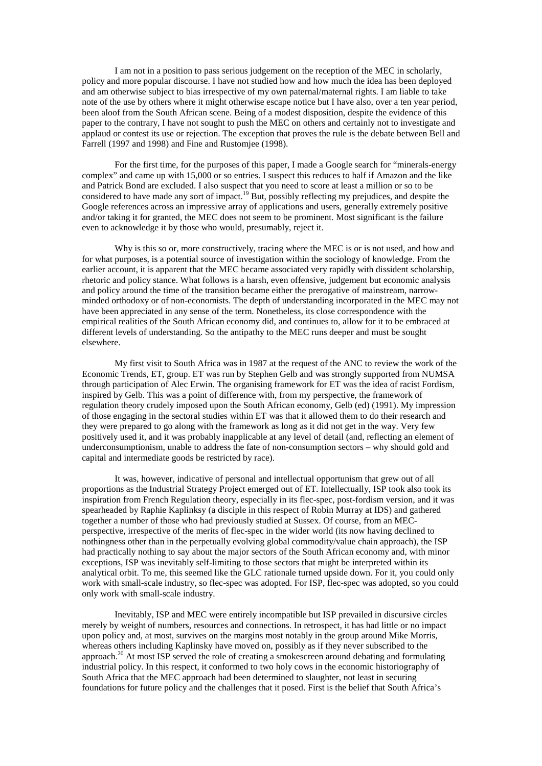I am not in a position to pass serious judgement on the reception of the MEC in scholarly, policy and more popular discourse. I have not studied how and how much the idea has been deployed and am otherwise subject to bias irrespective of my own paternal/maternal rights. I am liable to take note of the use by others where it might otherwise escape notice but I have also, over a ten year period, been aloof from the South African scene. Being of a modest disposition, despite the evidence of this paper to the contrary, I have not sought to push the MEC on others and certainly not to investigate and applaud or contest its use or rejection. The exception that proves the rule is the debate between Bell and Farrell (1997 and 1998) and Fine and Rustomjee (1998).

 For the first time, for the purposes of this paper, I made a Google search for "minerals-energy complex" and came up with 15,000 or so entries. I suspect this reduces to half if Amazon and the like and Patrick Bond are excluded. I also suspect that you need to score at least a million or so to be considered to have made any sort of impact.<sup>19</sup> But, possibly reflecting my prejudices, and despite the Google references across an impressive array of applications and users, generally extremely positive and/or taking it for granted, the MEC does not seem to be prominent. Most significant is the failure even to acknowledge it by those who would, presumably, reject it.

 Why is this so or, more constructively, tracing where the MEC is or is not used, and how and for what purposes, is a potential source of investigation within the sociology of knowledge. From the earlier account, it is apparent that the MEC became associated very rapidly with dissident scholarship, rhetoric and policy stance. What follows is a harsh, even offensive, judgement but economic analysis and policy around the time of the transition became either the prerogative of mainstream, narrowminded orthodoxy or of non-economists. The depth of understanding incorporated in the MEC may not have been appreciated in any sense of the term. Nonetheless, its close correspondence with the empirical realities of the South African economy did, and continues to, allow for it to be embraced at different levels of understanding. So the antipathy to the MEC runs deeper and must be sought elsewhere.

 My first visit to South Africa was in 1987 at the request of the ANC to review the work of the Economic Trends, ET, group. ET was run by Stephen Gelb and was strongly supported from NUMSA through participation of Alec Erwin. The organising framework for ET was the idea of racist Fordism, inspired by Gelb. This was a point of difference with, from my perspective, the framework of regulation theory crudely imposed upon the South African economy, Gelb (ed) (1991). My impression of those engaging in the sectoral studies within ET was that it allowed them to do their research and they were prepared to go along with the framework as long as it did not get in the way. Very few positively used it, and it was probably inapplicable at any level of detail (and, reflecting an element of underconsumptionism, unable to address the fate of non-consumption sectors – why should gold and capital and intermediate goods be restricted by race).

 It was, however, indicative of personal and intellectual opportunism that grew out of all proportions as the Industrial Strategy Project emerged out of ET. Intellectually, ISP took also took its inspiration from French Regulation theory, especially in its flec-spec, post-fordism version, and it was spearheaded by Raphie Kaplinksy (a disciple in this respect of Robin Murray at IDS) and gathered together a number of those who had previously studied at Sussex. Of course, from an MECperspective, irrespective of the merits of flec-spec in the wider world (its now having declined to nothingness other than in the perpetually evolving global commodity/value chain approach), the ISP had practically nothing to say about the major sectors of the South African economy and, with minor exceptions, ISP was inevitably self-limiting to those sectors that might be interpreted within its analytical orbit. To me, this seemed like the GLC rationale turned upside down. For it, you could only work with small-scale industry, so flec-spec was adopted. For ISP, flec-spec was adopted, so you could only work with small-scale industry.

 Inevitably, ISP and MEC were entirely incompatible but ISP prevailed in discursive circles merely by weight of numbers, resources and connections. In retrospect, it has had little or no impact upon policy and, at most, survives on the margins most notably in the group around Mike Morris, whereas others including Kaplinsky have moved on, possibly as if they never subscribed to the approach.<sup>20</sup> At most ISP served the role of creating a smokescreen around debating and formulating industrial policy. In this respect, it conformed to two holy cows in the economic historiography of South Africa that the MEC approach had been determined to slaughter, not least in securing foundations for future policy and the challenges that it posed. First is the belief that South Africa's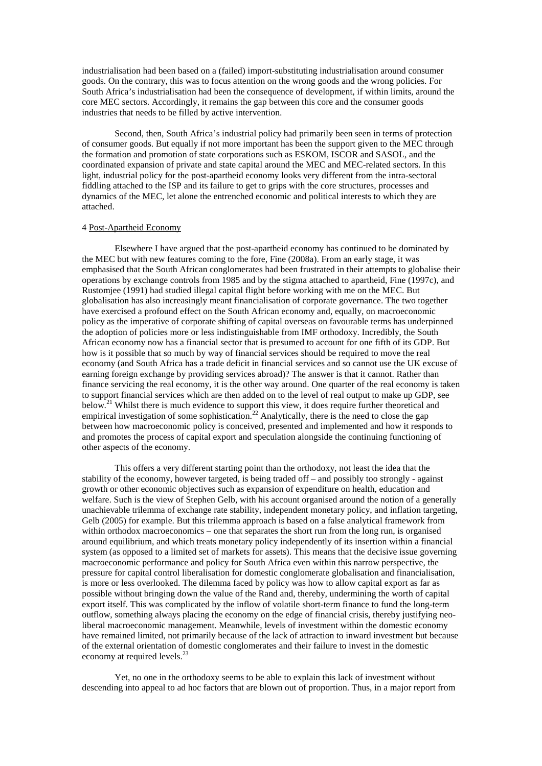industrialisation had been based on a (failed) import-substituting industrialisation around consumer goods. On the contrary, this was to focus attention on the wrong goods and the wrong policies. For South Africa's industrialisation had been the consequence of development, if within limits, around the core MEC sectors. Accordingly, it remains the gap between this core and the consumer goods industries that needs to be filled by active intervention.

 Second, then, South Africa's industrial policy had primarily been seen in terms of protection of consumer goods. But equally if not more important has been the support given to the MEC through the formation and promotion of state corporations such as ESKOM, ISCOR and SASOL, and the coordinated expansion of private and state capital around the MEC and MEC-related sectors. In this light, industrial policy for the post-apartheid economy looks very different from the intra-sectoral fiddling attached to the ISP and its failure to get to grips with the core structures, processes and dynamics of the MEC, let alone the entrenched economic and political interests to which they are attached.

#### 4 Post-Apartheid Economy

 Elsewhere I have argued that the post-apartheid economy has continued to be dominated by the MEC but with new features coming to the fore, Fine (2008a). From an early stage, it was emphasised that the South African conglomerates had been frustrated in their attempts to globalise their operations by exchange controls from 1985 and by the stigma attached to apartheid, Fine (1997c), and Rustomjee (1991) had studied illegal capital flight before working with me on the MEC. But globalisation has also increasingly meant financialisation of corporate governance. The two together have exercised a profound effect on the South African economy and, equally, on macroeconomic policy as the imperative of corporate shifting of capital overseas on favourable terms has underpinned the adoption of policies more or less indistinguishable from IMF orthodoxy. Incredibly, the South African economy now has a financial sector that is presumed to account for one fifth of its GDP. But how is it possible that so much by way of financial services should be required to move the real economy (and South Africa has a trade deficit in financial services and so cannot use the UK excuse of earning foreign exchange by providing services abroad)? The answer is that it cannot. Rather than finance servicing the real economy, it is the other way around. One quarter of the real economy is taken to support financial services which are then added on to the level of real output to make up GDP, see below.<sup>21</sup> Whilst there is much evidence to support this view, it does require further theoretical and empirical investigation of some sophistication.<sup>22</sup> Analytically, there is the need to close the gap between how macroeconomic policy is conceived, presented and implemented and how it responds to and promotes the process of capital export and speculation alongside the continuing functioning of other aspects of the economy.

This offers a very different starting point than the orthodoxy, not least the idea that the stability of the economy, however targeted, is being traded off – and possibly too strongly - against growth or other economic objectives such as expansion of expenditure on health, education and welfare. Such is the view of Stephen Gelb, with his account organised around the notion of a generally unachievable trilemma of exchange rate stability, independent monetary policy, and inflation targeting, Gelb (2005) for example. But this trilemma approach is based on a false analytical framework from within orthodox macroeconomics – one that separates the short run from the long run, is organised around equilibrium, and which treats monetary policy independently of its insertion within a financial system (as opposed to a limited set of markets for assets). This means that the decisive issue governing macroeconomic performance and policy for South Africa even within this narrow perspective, the pressure for capital control liberalisation for domestic conglomerate globalisation and financialisation, is more or less overlooked. The dilemma faced by policy was how to allow capital export as far as possible without bringing down the value of the Rand and, thereby, undermining the worth of capital export itself. This was complicated by the inflow of volatile short-term finance to fund the long-term outflow, something always placing the economy on the edge of financial crisis, thereby justifying neoliberal macroeconomic management. Meanwhile, levels of investment within the domestic economy have remained limited, not primarily because of the lack of attraction to inward investment but because of the external orientation of domestic conglomerates and their failure to invest in the domestic economy at required levels.<sup>23</sup>

Yet, no one in the orthodoxy seems to be able to explain this lack of investment without descending into appeal to ad hoc factors that are blown out of proportion. Thus, in a major report from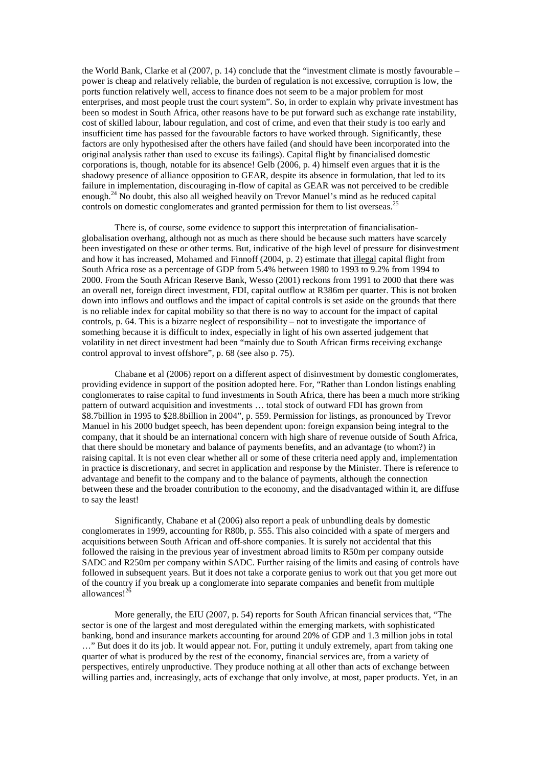the World Bank, Clarke et al (2007, p. 14) conclude that the "investment climate is mostly favourable – power is cheap and relatively reliable, the burden of regulation is not excessive, corruption is low, the ports function relatively well, access to finance does not seem to be a major problem for most enterprises, and most people trust the court system". So, in order to explain why private investment has been so modest in South Africa, other reasons have to be put forward such as exchange rate instability, cost of skilled labour, labour regulation, and cost of crime, and even that their study is too early and insufficient time has passed for the favourable factors to have worked through. Significantly, these factors are only hypothesised after the others have failed (and should have been incorporated into the original analysis rather than used to excuse its failings). Capital flight by financialised domestic corporations is, though, notable for its absence! Gelb (2006, p. 4) himself even argues that it is the shadowy presence of alliance opposition to GEAR, despite its absence in formulation, that led to its failure in implementation, discouraging in-flow of capital as GEAR was not perceived to be credible enough.<sup>24</sup> No doubt, this also all weighed heavily on Trevor Manuel's mind as he reduced capital controls on domestic conglomerates and granted permission for them to list overseas.<sup>25</sup>

There is, of course, some evidence to support this interpretation of financialisationglobalisation overhang, although not as much as there should be because such matters have scarcely been investigated on these or other terms. But, indicative of the high level of pressure for disinvestment and how it has increased, Mohamed and Finnoff (2004, p. 2) estimate that illegal capital flight from South Africa rose as a percentage of GDP from 5.4% between 1980 to 1993 to 9.2% from 1994 to 2000. From the South African Reserve Bank, Wesso (2001) reckons from 1991 to 2000 that there was an overall net, foreign direct investment, FDI, capital outflow at R386m per quarter. This is not broken down into inflows and outflows and the impact of capital controls is set aside on the grounds that there is no reliable index for capital mobility so that there is no way to account for the impact of capital controls, p. 64. This is a bizarre neglect of responsibility – not to investigate the importance of something because it is difficult to index, especially in light of his own asserted judgement that volatility in net direct investment had been "mainly due to South African firms receiving exchange control approval to invest offshore", p. 68 (see also p. 75).

Chabane et al (2006) report on a different aspect of disinvestment by domestic conglomerates, providing evidence in support of the position adopted here. For, "Rather than London listings enabling conglomerates to raise capital to fund investments in South Africa, there has been a much more striking pattern of outward acquisition and investments … total stock of outward FDI has grown from \$8.7billion in 1995 to \$28.8billion in 2004", p. 559. Permission for listings, as pronounced by Trevor Manuel in his 2000 budget speech, has been dependent upon: foreign expansion being integral to the company, that it should be an international concern with high share of revenue outside of South Africa, that there should be monetary and balance of payments benefits, and an advantage (to whom?) in raising capital. It is not even clear whether all or some of these criteria need apply and, implementation in practice is discretionary, and secret in application and response by the Minister. There is reference to advantage and benefit to the company and to the balance of payments, although the connection between these and the broader contribution to the economy, and the disadvantaged within it, are diffuse to say the least!

Significantly, Chabane et al (2006) also report a peak of unbundling deals by domestic conglomerates in 1999, accounting for R80b, p. 555. This also coincided with a spate of mergers and acquisitions between South African and off-shore companies. It is surely not accidental that this followed the raising in the previous year of investment abroad limits to R50m per company outside SADC and R250m per company within SADC. Further raising of the limits and easing of controls have followed in subsequent years. But it does not take a corporate genius to work out that you get more out of the country if you break up a conglomerate into separate companies and benefit from multiple allowances!<sup>26</sup>

More generally, the EIU (2007, p. 54) reports for South African financial services that, "The sector is one of the largest and most deregulated within the emerging markets, with sophisticated banking, bond and insurance markets accounting for around 20% of GDP and 1.3 million jobs in total …" But does it do its job. It would appear not. For, putting it unduly extremely, apart from taking one quarter of what is produced by the rest of the economy, financial services are, from a variety of perspectives, entirely unproductive. They produce nothing at all other than acts of exchange between willing parties and, increasingly, acts of exchange that only involve, at most, paper products. Yet, in an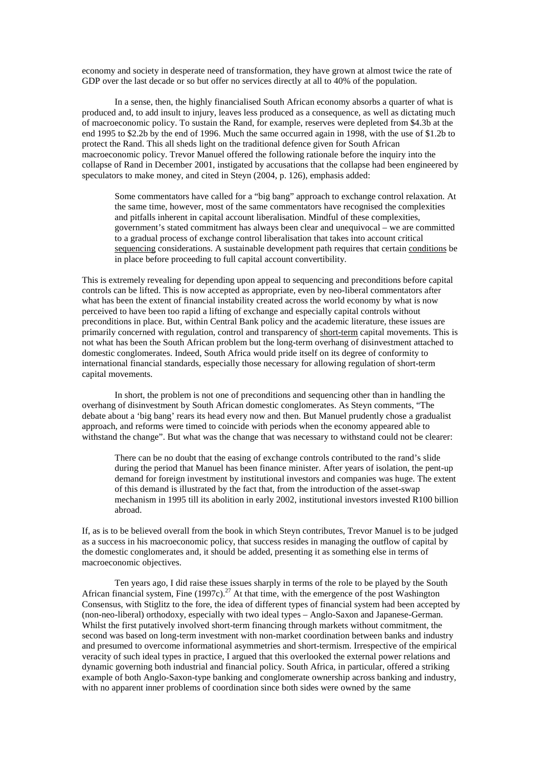economy and society in desperate need of transformation, they have grown at almost twice the rate of GDP over the last decade or so but offer no services directly at all to 40% of the population.

In a sense, then, the highly financialised South African economy absorbs a quarter of what is produced and, to add insult to injury, leaves less produced as a consequence, as well as dictating much of macroeconomic policy. To sustain the Rand, for example, reserves were depleted from \$4.3b at the end 1995 to \$2.2b by the end of 1996. Much the same occurred again in 1998, with the use of \$1.2b to protect the Rand. This all sheds light on the traditional defence given for South African macroeconomic policy. Trevor Manuel offered the following rationale before the inquiry into the collapse of Rand in December 2001, instigated by accusations that the collapse had been engineered by speculators to make money, and cited in Steyn (2004, p. 126), emphasis added:

Some commentators have called for a "big bang" approach to exchange control relaxation. At the same time, however, most of the same commentators have recognised the complexities and pitfalls inherent in capital account liberalisation. Mindful of these complexities, government's stated commitment has always been clear and unequivocal – we are committed to a gradual process of exchange control liberalisation that takes into account critical sequencing considerations. A sustainable development path requires that certain conditions be in place before proceeding to full capital account convertibility.

This is extremely revealing for depending upon appeal to sequencing and preconditions before capital controls can be lifted. This is now accepted as appropriate, even by neo-liberal commentators after what has been the extent of financial instability created across the world economy by what is now perceived to have been too rapid a lifting of exchange and especially capital controls without preconditions in place. But, within Central Bank policy and the academic literature, these issues are primarily concerned with regulation, control and transparency of short-term capital movements. This is not what has been the South African problem but the long-term overhang of disinvestment attached to domestic conglomerates. Indeed, South Africa would pride itself on its degree of conformity to international financial standards, especially those necessary for allowing regulation of short-term capital movements.

In short, the problem is not one of preconditions and sequencing other than in handling the overhang of disinvestment by South African domestic conglomerates. As Steyn comments, "The debate about a 'big bang' rears its head every now and then. But Manuel prudently chose a gradualist approach, and reforms were timed to coincide with periods when the economy appeared able to withstand the change". But what was the change that was necessary to withstand could not be clearer:

There can be no doubt that the easing of exchange controls contributed to the rand's slide during the period that Manuel has been finance minister. After years of isolation, the pent-up demand for foreign investment by institutional investors and companies was huge. The extent of this demand is illustrated by the fact that, from the introduction of the asset-swap mechanism in 1995 till its abolition in early 2002, institutional investors invested R100 billion abroad.

If, as is to be believed overall from the book in which Steyn contributes, Trevor Manuel is to be judged as a success in his macroeconomic policy, that success resides in managing the outflow of capital by the domestic conglomerates and, it should be added, presenting it as something else in terms of macroeconomic objectives.

 Ten years ago, I did raise these issues sharply in terms of the role to be played by the South African financial system, Fine (1997c).<sup>27</sup> At that time, with the emergence of the post Washington Consensus, with Stiglitz to the fore, the idea of different types of financial system had been accepted by (non-neo-liberal) orthodoxy, especially with two ideal types – Anglo-Saxon and Japanese-German. Whilst the first putatively involved short-term financing through markets without commitment, the second was based on long-term investment with non-market coordination between banks and industry and presumed to overcome informational asymmetries and short-termism. Irrespective of the empirical veracity of such ideal types in practice, I argued that this overlooked the external power relations and dynamic governing both industrial and financial policy. South Africa, in particular, offered a striking example of both Anglo-Saxon-type banking and conglomerate ownership across banking and industry, with no apparent inner problems of coordination since both sides were owned by the same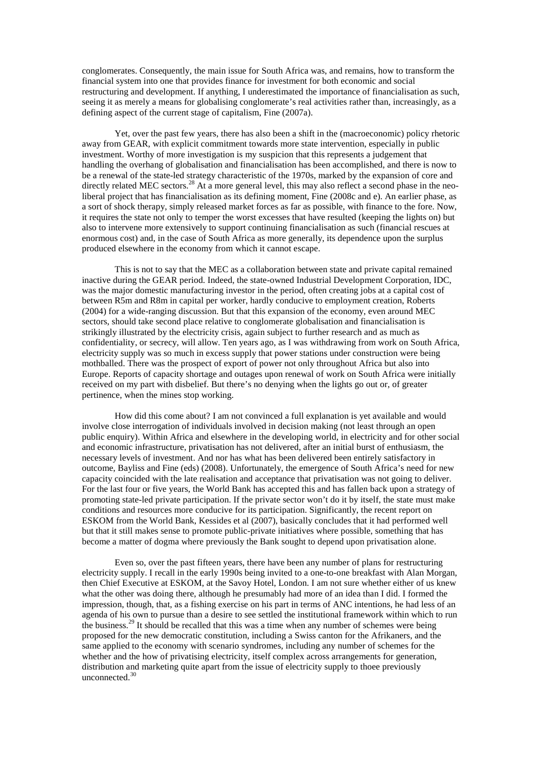conglomerates. Consequently, the main issue for South Africa was, and remains, how to transform the financial system into one that provides finance for investment for both economic and social restructuring and development. If anything, I underestimated the importance of financialisation as such, seeing it as merely a means for globalising conglomerate's real activities rather than, increasingly, as a defining aspect of the current stage of capitalism, Fine (2007a).

Yet, over the past few years, there has also been a shift in the (macroeconomic) policy rhetoric away from GEAR, with explicit commitment towards more state intervention, especially in public investment. Worthy of more investigation is my suspicion that this represents a judgement that handling the overhang of globalisation and financialisation has been accomplished, and there is now to be a renewal of the state-led strategy characteristic of the 1970s, marked by the expansion of core and directly related MEC sectors.<sup>28</sup> At a more general level, this may also reflect a second phase in the neoliberal project that has financialisation as its defining moment, Fine (2008c and e). An earlier phase, as a sort of shock therapy, simply released market forces as far as possible, with finance to the fore. Now, it requires the state not only to temper the worst excesses that have resulted (keeping the lights on) but also to intervene more extensively to support continuing financialisation as such (financial rescues at enormous cost) and, in the case of South Africa as more generally, its dependence upon the surplus produced elsewhere in the economy from which it cannot escape.

 This is not to say that the MEC as a collaboration between state and private capital remained inactive during the GEAR period. Indeed, the state-owned Industrial Development Corporation, IDC, was the major domestic manufacturing investor in the period, often creating jobs at a capital cost of between R5m and R8m in capital per worker, hardly conducive to employment creation, Roberts (2004) for a wide-ranging discussion. But that this expansion of the economy, even around MEC sectors, should take second place relative to conglomerate globalisation and financialisation is strikingly illustrated by the electricity crisis, again subject to further research and as much as confidentiality, or secrecy, will allow. Ten years ago, as I was withdrawing from work on South Africa, electricity supply was so much in excess supply that power stations under construction were being mothballed. There was the prospect of export of power not only throughout Africa but also into Europe. Reports of capacity shortage and outages upon renewal of work on South Africa were initially received on my part with disbelief. But there's no denying when the lights go out or, of greater pertinence, when the mines stop working.

How did this come about? I am not convinced a full explanation is yet available and would involve close interrogation of individuals involved in decision making (not least through an open public enquiry). Within Africa and elsewhere in the developing world, in electricity and for other social and economic infrastructure, privatisation has not delivered, after an initial burst of enthusiasm, the necessary levels of investment. And nor has what has been delivered been entirely satisfactory in outcome, Bayliss and Fine (eds) (2008). Unfortunately, the emergence of South Africa's need for new capacity coincided with the late realisation and acceptance that privatisation was not going to deliver. For the last four or five years, the World Bank has accepted this and has fallen back upon a strategy of promoting state-led private participation. If the private sector won't do it by itself, the state must make conditions and resources more conducive for its participation. Significantly, the recent report on ESKOM from the World Bank, Kessides et al (2007), basically concludes that it had performed well but that it still makes sense to promote public-private initiatives where possible, something that has become a matter of dogma where previously the Bank sought to depend upon privatisation alone.

Even so, over the past fifteen years, there have been any number of plans for restructuring electricity supply. I recall in the early 1990s being invited to a one-to-one breakfast with Alan Morgan, then Chief Executive at ESKOM, at the Savoy Hotel, London. I am not sure whether either of us knew what the other was doing there, although he presumably had more of an idea than I did. I formed the impression, though, that, as a fishing exercise on his part in terms of ANC intentions, he had less of an agenda of his own to pursue than a desire to see settled the institutional framework within which to run the business.<sup>29</sup> It should be recalled that this was a time when any number of schemes were being proposed for the new democratic constitution, including a Swiss canton for the Afrikaners, and the same applied to the economy with scenario syndromes, including any number of schemes for the whether and the how of privatising electricity, itself complex across arrangements for generation, distribution and marketing quite apart from the issue of electricity supply to thoee previously unconnected.<sup>30</sup>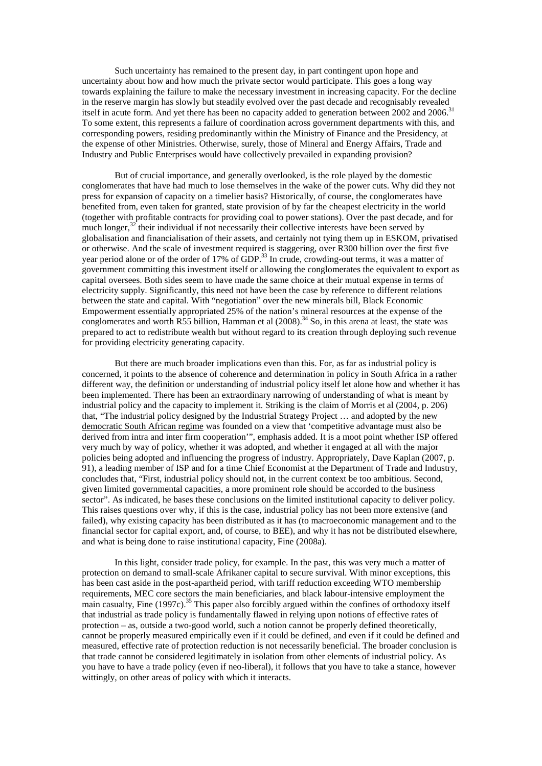Such uncertainty has remained to the present day, in part contingent upon hope and uncertainty about how and how much the private sector would participate. This goes a long way towards explaining the failure to make the necessary investment in increasing capacity. For the decline in the reserve margin has slowly but steadily evolved over the past decade and recognisably revealed itself in acute form. And yet there has been no capacity added to generation between 2002 and 2006.<sup>31</sup> To some extent, this represents a failure of coordination across government departments with this, and corresponding powers, residing predominantly within the Ministry of Finance and the Presidency, at the expense of other Ministries. Otherwise, surely, those of Mineral and Energy Affairs, Trade and Industry and Public Enterprises would have collectively prevailed in expanding provision?

But of crucial importance, and generally overlooked, is the role played by the domestic conglomerates that have had much to lose themselves in the wake of the power cuts. Why did they not press for expansion of capacity on a timelier basis? Historically, of course, the conglomerates have benefited from, even taken for granted, state provision of by far the cheapest electricity in the world (together with profitable contracts for providing coal to power stations). Over the past decade, and for much longer, $32$  their individual if not necessarily their collective interests have been served by globalisation and financialisation of their assets, and certainly not tying them up in ESKOM, privatised or otherwise. And the scale of investment required is staggering, over R300 billion over the first five year period alone or of the order of 17% of GDP.<sup>33</sup> In crude, crowding-out terms, it was a matter of government committing this investment itself or allowing the conglomerates the equivalent to export as capital oversees. Both sides seem to have made the same choice at their mutual expense in terms of electricity supply. Significantly, this need not have been the case by reference to different relations between the state and capital. With "negotiation" over the new minerals bill, Black Economic Empowerment essentially appropriated 25% of the nation's mineral resources at the expense of the conglomerates and worth R55 billion, Hamman et al  $(2008).<sup>34</sup>$  So, in this arena at least, the state was prepared to act to redistribute wealth but without regard to its creation through deploying such revenue for providing electricity generating capacity.

But there are much broader implications even than this. For, as far as industrial policy is concerned, it points to the absence of coherence and determination in policy in South Africa in a rather different way, the definition or understanding of industrial policy itself let alone how and whether it has been implemented. There has been an extraordinary narrowing of understanding of what is meant by industrial policy and the capacity to implement it. Striking is the claim of Morris et al (2004, p. 206) that, "The industrial policy designed by the Industrial Strategy Project … and adopted by the new democratic South African regime was founded on a view that 'competitive advantage must also be derived from intra and inter firm cooperation'", emphasis added. It is a moot point whether ISP offered very much by way of policy, whether it was adopted, and whether it engaged at all with the major policies being adopted and influencing the progress of industry. Appropriately, Dave Kaplan (2007, p. 91), a leading member of ISP and for a time Chief Economist at the Department of Trade and Industry, concludes that, "First, industrial policy should not, in the current context be too ambitious. Second, given limited governmental capacities, a more prominent role should be accorded to the business sector". As indicated, he bases these conclusions on the limited institutional capacity to deliver policy. This raises questions over why, if this is the case, industrial policy has not been more extensive (and failed), why existing capacity has been distributed as it has (to macroeconomic management and to the financial sector for capital export, and, of course, to BEE), and why it has not be distributed elsewhere, and what is being done to raise institutional capacity, Fine (2008a).

In this light, consider trade policy, for example. In the past, this was very much a matter of protection on demand to small-scale Afrikaner capital to secure survival. With minor exceptions, this has been cast aside in the post-apartheid period, with tariff reduction exceeding WTO membership requirements, MEC core sectors the main beneficiaries, and black labour-intensive employment the main casualty, Fine  $(1997c)$ <sup>35</sup>. This paper also forcibly argued within the confines of orthodoxy itself that industrial as trade policy is fundamentally flawed in relying upon notions of effective rates of protection – as, outside a two-good world, such a notion cannot be properly defined theoretically, cannot be properly measured empirically even if it could be defined, and even if it could be defined and measured, effective rate of protection reduction is not necessarily beneficial. The broader conclusion is that trade cannot be considered legitimately in isolation from other elements of industrial policy. As you have to have a trade policy (even if neo-liberal), it follows that you have to take a stance, however wittingly, on other areas of policy with which it interacts.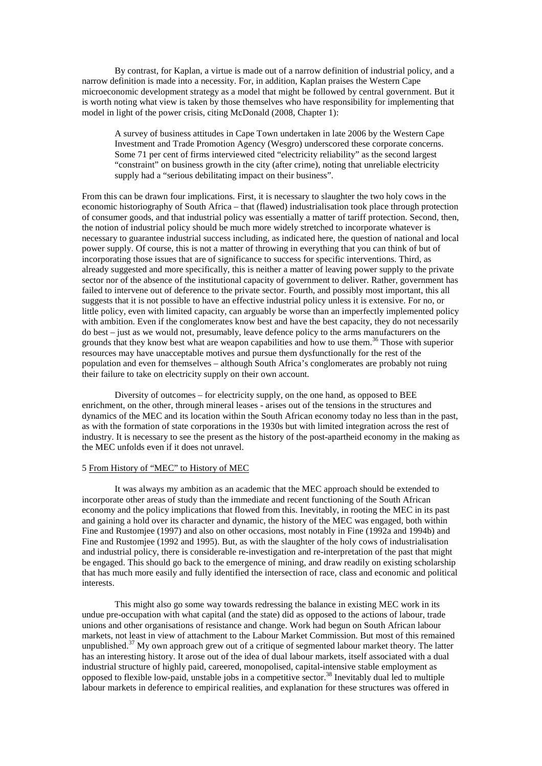By contrast, for Kaplan, a virtue is made out of a narrow definition of industrial policy, and a narrow definition is made into a necessity. For, in addition, Kaplan praises the Western Cape microeconomic development strategy as a model that might be followed by central government. But it is worth noting what view is taken by those themselves who have responsibility for implementing that model in light of the power crisis, citing McDonald (2008, Chapter 1):

A survey of business attitudes in Cape Town undertaken in late 2006 by the Western Cape Investment and Trade Promotion Agency (Wesgro) underscored these corporate concerns. Some 71 per cent of firms interviewed cited "electricity reliability" as the second largest "constraint" on business growth in the city (after crime), noting that unreliable electricity supply had a "serious debilitating impact on their business".

From this can be drawn four implications. First, it is necessary to slaughter the two holy cows in the economic historiography of South Africa – that (flawed) industrialisation took place through protection of consumer goods, and that industrial policy was essentially a matter of tariff protection. Second, then, the notion of industrial policy should be much more widely stretched to incorporate whatever is necessary to guarantee industrial success including, as indicated here, the question of national and local power supply. Of course, this is not a matter of throwing in everything that you can think of but of incorporating those issues that are of significance to success for specific interventions. Third, as already suggested and more specifically, this is neither a matter of leaving power supply to the private sector nor of the absence of the institutional capacity of government to deliver. Rather, government has failed to intervene out of deference to the private sector. Fourth, and possibly most important, this all suggests that it is not possible to have an effective industrial policy unless it is extensive. For no, or little policy, even with limited capacity, can arguably be worse than an imperfectly implemented policy with ambition. Even if the conglomerates know best and have the best capacity, they do not necessarily do best – just as we would not, presumably, leave defence policy to the arms manufacturers on the grounds that they know best what are weapon capabilities and how to use them.<sup>36</sup> Those with superior resources may have unacceptable motives and pursue them dysfunctionally for the rest of the population and even for themselves – although South Africa's conglomerates are probably not ruing their failure to take on electricity supply on their own account.

 Diversity of outcomes – for electricity supply, on the one hand, as opposed to BEE enrichment, on the other, through mineral leases - arises out of the tensions in the structures and dynamics of the MEC and its location within the South African economy today no less than in the past, as with the formation of state corporations in the 1930s but with limited integration across the rest of industry. It is necessary to see the present as the history of the post-apartheid economy in the making as the MEC unfolds even if it does not unravel.

#### 5 From History of "MEC" to History of MEC

It was always my ambition as an academic that the MEC approach should be extended to incorporate other areas of study than the immediate and recent functioning of the South African economy and the policy implications that flowed from this. Inevitably, in rooting the MEC in its past and gaining a hold over its character and dynamic, the history of the MEC was engaged, both within Fine and Rustomjee (1997) and also on other occasions, most notably in Fine (1992a and 1994b) and Fine and Rustomjee (1992 and 1995). But, as with the slaughter of the holy cows of industrialisation and industrial policy, there is considerable re-investigation and re-interpretation of the past that might be engaged. This should go back to the emergence of mining, and draw readily on existing scholarship that has much more easily and fully identified the intersection of race, class and economic and political interests.

 This might also go some way towards redressing the balance in existing MEC work in its undue pre-occupation with what capital (and the state) did as opposed to the actions of labour, trade unions and other organisations of resistance and change. Work had begun on South African labour markets, not least in view of attachment to the Labour Market Commission. But most of this remained unpublished.<sup>37</sup> My own approach grew out of a critique of segmented labour market theory. The latter has an interesting history. It arose out of the idea of dual labour markets, itself associated with a dual industrial structure of highly paid, careered, monopolised, capital-intensive stable employment as opposed to flexible low-paid, unstable jobs in a competitive sector.<sup>38</sup> Inevitably dual led to multiple labour markets in deference to empirical realities, and explanation for these structures was offered in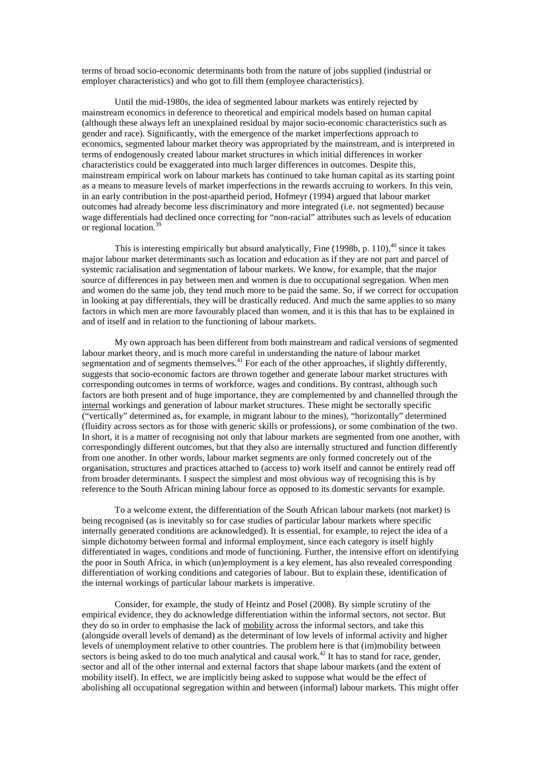terms of broad socio-economic determinants both from the nature of jobs supplied (industrial or employer characteristics) and who got to fill them (employee characteristics).

Until the mid-1980s, the idea of segmented labour markets was entirely rejected by mainstream economics in deference to theoretical and empirical models based on human capital (although these always left an unexplained residual by major socio-economic characteristics such as gender and race). Significantly, with the emergence of the market imperfections approach to economics, segmented labour market theory was appropriated by the mainstream, and is interpreted in terms of endogenously created labour market structures in which initial differences in worker characteristics could be exaggerated into much larger differences in outcomes. Despite this, mainstream empirical work on labour markets has continued to take human capital as its starting point as a means to measure levels of market imperfections in the rewards accruing to workers. In this vein, in an early contribution in the post-apartheid period, Hofmeyr (1994) argued that labour market outcomes had already become less discriminatory and more integrated (i.e. not segmented) because wage differentials had declined once correcting for "non-racial" attributes such as levels of education or regional location.<sup>39</sup>

This is interesting empirically but absurd analytically, Fine  $(1998b, p. 110)$ ,<sup>40</sup> since it takes major labour market determinants such as location and education as if they are not part and parcel of systemic racialisation and segmentation of labour markets. We know, for example, that the major source of differences in pay between men and women is due to occupational segregation. When men and women do the same job, they tend much more to be paid the same. So, if we correct for occupation in looking at pay differentials, they will be drastically reduced. And much the same applies to so many factors in which men are more favourably placed than women, and it is this that has to be explained in and of itself and in relation to the functioning of labour markets.

My own approach has been different from both mainstream and radical versions of segmented labour market theory, and is much more careful in understanding the nature of labour market segmentation and of segments themselves.<sup>41</sup> For each of the other approaches, if slightly differently, suggests that socio-economic factors are thrown together and generate labour market structures with corresponding outcomes in terms of workforce, wages and conditions. By contrast, although such factors are both present and of huge importance, they are complemented by and channelled through the internal workings and generation of labour market structures. These might be sectorally specific ("vertically" determined as, for example, in migrant labour to the mines), "horizontally" determined (fluidity across sectors as for those with generic skills or professions), or some combination of the two. In short, it is a matter of recognising not only that labour markets are segmented from one another, with correspondingly different outcomes, but that they also are internally structured and function differently from one another. In other words, labour market segments are only formed concretely out of the organisation, structures and practices attached to (access to) work itself and cannot be entirely read off from broader determinants. I suspect the simplest and most obvious way of recognising this is by reference to the South African mining labour force as opposed to its domestic servants for example.

To a welcome extent, the differentiation of the South African labour markets (not market) is being recognised (as is inevitably so for case studies of particular labour markets where specific internally generated conditions are acknowledged). It is essential, for example, to reject the idea of a simple dichotomy between formal and informal employment, since each category is itself highly differentiated in wages, conditions and mode of functioning. Further, the intensive effort on identifying the poor in South Africa, in which (un)employment is a key element, has also revealed corresponding differentiation of working conditions and categories of labour. But to explain these, identification of the internal workings of particular labour markets is imperative.

Consider, for example, the study of Heintz and Posel (2008). By simple scrutiny of the empirical evidence, they do acknowledge differentiation within the informal sectors, not sector. But they do so in order to emphasise the lack of mobility across the informal sectors, and take this (alongside overall levels of demand) as the determinant of low levels of informal activity and higher levels of unemployment relative to other countries. The problem here is that (im)mobility between sectors is being asked to do too much analytical and causal work.<sup>42</sup> It has to stand for race, gender, sector and all of the other internal and external factors that shape labour markets (and the extent of mobility itself). In effect, we are implicitly being asked to suppose what would be the effect of abolishing all occupational segregation within and between (informal) labour markets. This might offer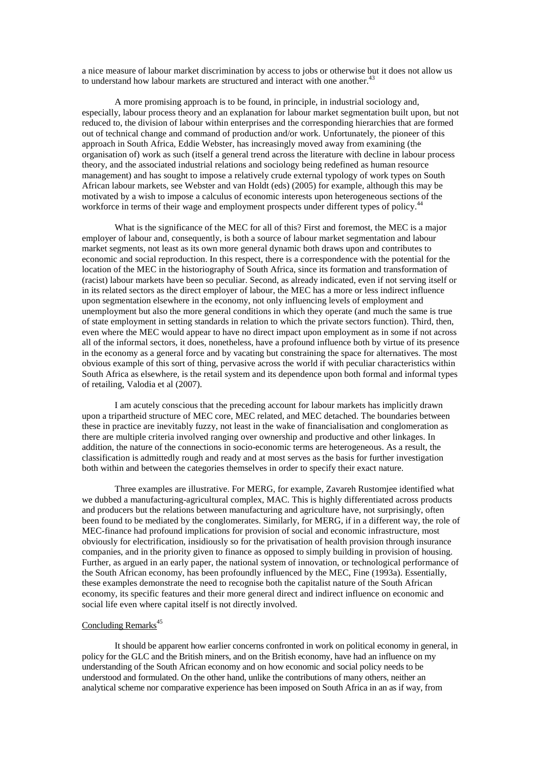a nice measure of labour market discrimination by access to jobs or otherwise but it does not allow us to understand how labour markets are structured and interact with one another.<sup>43</sup>

A more promising approach is to be found, in principle, in industrial sociology and, especially, labour process theory and an explanation for labour market segmentation built upon, but not reduced to, the division of labour within enterprises and the corresponding hierarchies that are formed out of technical change and command of production and/or work. Unfortunately, the pioneer of this approach in South Africa, Eddie Webster, has increasingly moved away from examining (the organisation of) work as such (itself a general trend across the literature with decline in labour process theory, and the associated industrial relations and sociology being redefined as human resource management) and has sought to impose a relatively crude external typology of work types on South African labour markets, see Webster and van Holdt (eds) (2005) for example, although this may be motivated by a wish to impose a calculus of economic interests upon heterogeneous sections of the workforce in terms of their wage and employment prospects under different types of policy.<sup>44</sup>

What is the significance of the MEC for all of this? First and foremost, the MEC is a major employer of labour and, consequently, is both a source of labour market segmentation and labour market segments, not least as its own more general dynamic both draws upon and contributes to economic and social reproduction. In this respect, there is a correspondence with the potential for the location of the MEC in the historiography of South Africa, since its formation and transformation of (racist) labour markets have been so peculiar. Second, as already indicated, even if not serving itself or in its related sectors as the direct employer of labour, the MEC has a more or less indirect influence upon segmentation elsewhere in the economy, not only influencing levels of employment and unemployment but also the more general conditions in which they operate (and much the same is true of state employment in setting standards in relation to which the private sectors function). Third, then, even where the MEC would appear to have no direct impact upon employment as in some if not across all of the informal sectors, it does, nonetheless, have a profound influence both by virtue of its presence in the economy as a general force and by vacating but constraining the space for alternatives. The most obvious example of this sort of thing, pervasive across the world if with peculiar characteristics within South Africa as elsewhere, is the retail system and its dependence upon both formal and informal types of retailing, Valodia et al (2007).

I am acutely conscious that the preceding account for labour markets has implicitly drawn upon a tripartheid structure of MEC core, MEC related, and MEC detached. The boundaries between these in practice are inevitably fuzzy, not least in the wake of financialisation and conglomeration as there are multiple criteria involved ranging over ownership and productive and other linkages. In addition, the nature of the connections in socio-economic terms are heterogeneous. As a result, the classification is admittedly rough and ready and at most serves as the basis for further investigation both within and between the categories themselves in order to specify their exact nature.

Three examples are illustrative. For MERG, for example, Zavareh Rustomjee identified what we dubbed a manufacturing-agricultural complex, MAC. This is highly differentiated across products and producers but the relations between manufacturing and agriculture have, not surprisingly, often been found to be mediated by the conglomerates. Similarly, for MERG, if in a different way, the role of MEC-finance had profound implications for provision of social and economic infrastructure, most obviously for electrification, insidiously so for the privatisation of health provision through insurance companies, and in the priority given to finance as opposed to simply building in provision of housing. Further, as argued in an early paper, the national system of innovation, or technological performance of the South African economy, has been profoundly influenced by the MEC, Fine (1993a). Essentially, these examples demonstrate the need to recognise both the capitalist nature of the South African economy, its specific features and their more general direct and indirect influence on economic and social life even where capital itself is not directly involved.

# Concluding Remarks<sup>45</sup>

 It should be apparent how earlier concerns confronted in work on political economy in general, in policy for the GLC and the British miners, and on the British economy, have had an influence on my understanding of the South African economy and on how economic and social policy needs to be understood and formulated. On the other hand, unlike the contributions of many others, neither an analytical scheme nor comparative experience has been imposed on South Africa in an as if way, from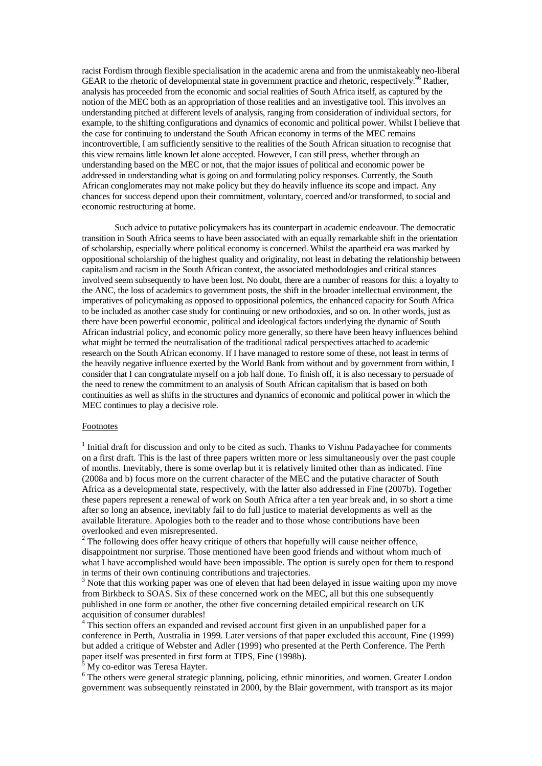racist Fordism through flexible specialisation in the academic arena and from the unmistakeably neo-liberal GEAR to the rhetoric of developmental state in government practice and rhetoric, respectively.<sup>46</sup> Rather, analysis has proceeded from the economic and social realities of South Africa itself, as captured by the notion of the MEC both as an appropriation of those realities and an investigative tool. This involves an understanding pitched at different levels of analysis, ranging from consideration of individual sectors, for example, to the shifting configurations and dynamics of economic and political power. Whilst I believe that the case for continuing to understand the South African economy in terms of the MEC remains incontrovertible, I am sufficiently sensitive to the realities of the South African situation to recognise that this view remains little known let alone accepted. However, I can still press, whether through an understanding based on the MEC or not, that the major issues of political and economic power be addressed in understanding what is going on and formulating policy responses. Currently, the South African conglomerates may not make policy but they do heavily influence its scope and impact. Any chances for success depend upon their commitment, voluntary, coerced and/or transformed, to social and economic restructuring at home.

 Such advice to putative policymakers has its counterpart in academic endeavour. The democratic transition in South Africa seems to have been associated with an equally remarkable shift in the orientation of scholarship, especially where political economy is concerned. Whilst the apartheid era was marked by oppositional scholarship of the highest quality and originality, not least in debating the relationship between capitalism and racism in the South African context, the associated methodologies and critical stances involved seem subsequently to have been lost. No doubt, there are a number of reasons for this: a loyalty to the ANC, the loss of academics to government posts, the shift in the broader intellectual environment, the imperatives of policymaking as opposed to oppositional polemics, the enhanced capacity for South Africa to be included as another case study for continuing or new orthodoxies, and so on. In other words, just as there have been powerful economic, political and ideological factors underlying the dynamic of South African industrial policy, and economic policy more generally, so there have been heavy influences behind what might be termed the neutralisation of the traditional radical perspectives attached to academic research on the South African economy. If I have managed to restore some of these, not least in terms of the heavily negative influence exerted by the World Bank from without and by government from within, I consider that I can congratulate myself on a job half done. To finish off, it is also necessary to persuade of the need to renew the commitment to an analysis of South African capitalism that is based on both continuities as well as shifts in the structures and dynamics of economic and political power in which the MEC continues to play a decisive role.

#### Footnotes

 $<sup>1</sup>$  Initial draft for discussion and only to be cited as such. Thanks to Vishnu Padayachee for comments</sup> on a first draft. This is the last of three papers written more or less simultaneously over the past couple of months. Inevitably, there is some overlap but it is relatively limited other than as indicated. Fine (2008a and b) focus more on the current character of the MEC and the putative character of South Africa as a developmental state, respectively, with the latter also addressed in Fine (2007b). Together these papers represent a renewal of work on South Africa after a ten year break and, in so short a time after so long an absence, inevitably fail to do full justice to material developments as well as the available literature. Apologies both to the reader and to those whose contributions have been overlooked and even misrepresented.

 $2^2$  The following does offer heavy critique of others that hopefully will cause neither offence, disappointment nor surprise. Those mentioned have been good friends and without whom much of what I have accomplished would have been impossible. The option is surely open for them to respond in terms of their own continuing contributions and trajectories.

 $3$  Note that this working paper was one of eleven that had been delayed in issue waiting upon my move from Birkbeck to SOAS. Six of these concerned work on the MEC, all but this one subsequently published in one form or another, the other five concerning detailed empirical research on UK acquisition of consumer durables!

<sup>4</sup> This section offers an expanded and revised account first given in an unpublished paper for a conference in Perth, Australia in 1999. Later versions of that paper excluded this account, Fine (1999) but added a critique of Webster and Adler (1999) who presented at the Perth Conference. The Perth paper itself was presented in first form at TIPS, Fine (1998b).<br><sup>5</sup> My co-oditor was Toresa Hayter.

My co-editor was Teresa Hayter.

<sup>6</sup> The others were general strategic planning, policing, ethnic minorities, and women. Greater London government was subsequently reinstated in 2000, by the Blair government, with transport as its major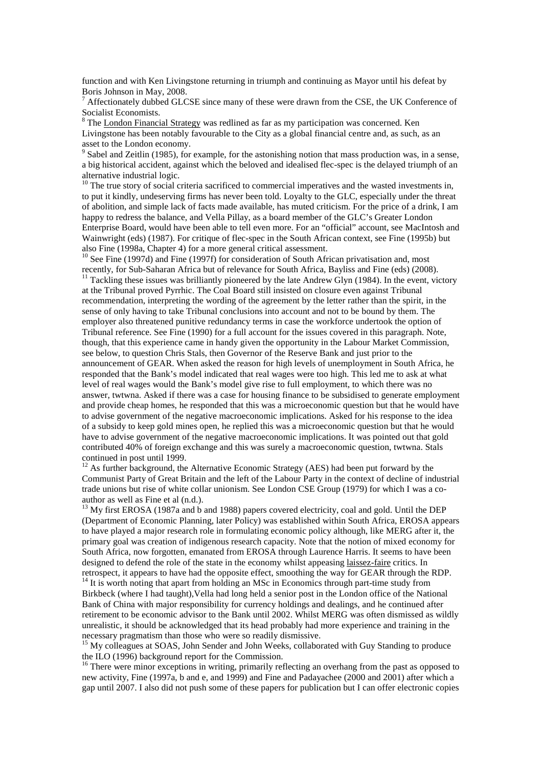function and with Ken Livingstone returning in triumph and continuing as Mayor until his defeat by Boris Johnson in May, 2008.

7 Affectionately dubbed GLCSE since many of these were drawn from the CSE, the UK Conference of Socialist Economists.

<sup>8</sup> The London Financial Strategy was redlined as far as my participation was concerned. Ken Livingstone has been notably favourable to the City as a global financial centre and, as such, as an asset to the London economy.

 $9^9$  Sabel and Zeitlin (1985), for example, for the astonishing notion that mass production was, in a sense, a big historical accident, against which the beloved and idealised flec-spec is the delayed triumph of an alternative industrial logic.

 $10$  The true story of social criteria sacrificed to commercial imperatives and the wasted investments in, to put it kindly, undeserving firms has never been told. Loyalty to the GLC, especially under the threat of abolition, and simple lack of facts made available, has muted criticism. For the price of a drink, I am happy to redress the balance, and Vella Pillay, as a board member of the GLC's Greater London Enterprise Board, would have been able to tell even more. For an "official" account, see MacIntosh and Wainwright (eds) (1987). For critique of flec-spec in the South African context, see Fine (1995b) but also Fine (1998a, Chapter 4) for a more general critical assessment.

<sup>10</sup> See Fine (1997d) and Fine (1997f) for consideration of South African privatisation and, most recently, for Sub-Saharan Africa but of relevance for South Africa, Bayliss and Fine (eds) (2008).  $11$  Tackling these issues was brilliantly pioneered by the late Andrew Glyn (1984). In the event, victory at the Tribunal proved Pyrrhic. The Coal Board still insisted on closure even against Tribunal recommendation, interpreting the wording of the agreement by the letter rather than the spirit, in the sense of only having to take Tribunal conclusions into account and not to be bound by them. The employer also threatened punitive redundancy terms in case the workforce undertook the option of Tribunal reference. See Fine (1990) for a full account for the issues covered in this paragraph. Note, though, that this experience came in handy given the opportunity in the Labour Market Commission, see below, to question Chris Stals, then Governor of the Reserve Bank and just prior to the announcement of GEAR. When asked the reason for high levels of unemployment in South Africa, he responded that the Bank's model indicated that real wages were too high. This led me to ask at what level of real wages would the Bank's model give rise to full employment, to which there was no answer, twtwna. Asked if there was a case for housing finance to be subsidised to generate employment and provide cheap homes, he responded that this was a microeconomic question but that he would have to advise government of the negative macroeconomic implications. Asked for his response to the idea of a subsidy to keep gold mines open, he replied this was a microeconomic question but that he would have to advise government of the negative macroeconomic implications. It was pointed out that gold contributed 40% of foreign exchange and this was surely a macroeconomic question, twtwna. Stals continued in post until 1999.

 $12$  As further background, the Alternative Economic Strategy (AES) had been put forward by the Communist Party of Great Britain and the left of the Labour Party in the context of decline of industrial trade unions but rise of white collar unionism. See London CSE Group (1979) for which I was a coauthor as well as Fine et al (n.d.).

<sup>13</sup> My first EROSA (1987a and b and 1988) papers covered electricity, coal and gold. Until the DEP (Department of Economic Planning, later Policy) was established within South Africa, EROSA appears to have played a major research role in formulating economic policy although, like MERG after it, the primary goal was creation of indigenous research capacity. Note that the notion of mixed economy for South Africa, now forgotten, emanated from EROSA through Laurence Harris. It seems to have been designed to defend the role of the state in the economy whilst appeasing laissez-faire critics. In retrospect, it appears to have had the opposite effect, smoothing the way for GEAR through the RDP.

<sup>14</sup> It is worth noting that apart from holding an MSc in Economics through part-time study from Birkbeck (where I had taught),Vella had long held a senior post in the London office of the National Bank of China with major responsibility for currency holdings and dealings, and he continued after retirement to be economic advisor to the Bank until 2002. Whilst MERG was often dismissed as wildly unrealistic, it should be acknowledged that its head probably had more experience and training in the necessary pragmatism than those who were so readily dismissive.

<sup>15</sup> My colleagues at SOAS, John Sender and John Weeks, collaborated with Guy Standing to produce the ILO (1996) background report for the Commission.

<sup>16</sup> There were minor exceptions in writing, primarily reflecting an overhang from the past as opposed to new activity, Fine (1997a, b and e, and 1999) and Fine and Padayachee (2000 and 2001) after which a gap until 2007. I also did not push some of these papers for publication but I can offer electronic copies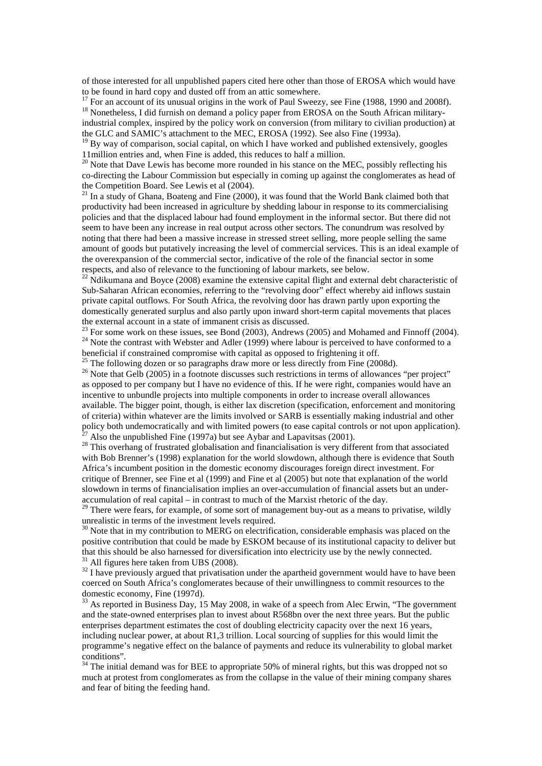of those interested for all unpublished papers cited here other than those of EROSA which would have to be found in hard copy and dusted off from an attic somewhere.

<sup>17</sup> For an account of its unusual origins in the work of Paul Sweezy, see Fine (1988, 1990 and 2008f).

<sup>18</sup> Nonetheless, I did furnish on demand a policy paper from EROSA on the South African militaryindustrial complex, inspired by the policy work on conversion (from military to civilian production) at the GLC and SAMIC's attachment to the MEC, EROSA (1992). See also Fine (1993a).

 $19$  By way of comparison, social capital, on which I have worked and published extensively, googles 11million entries and, when Fine is added, this reduces to half a million.

 $20$  Note that Dave Lewis has become more rounded in his stance on the MEC, possibly reflecting his co-directing the Labour Commission but especially in coming up against the conglomerates as head of the Competition Board. See Lewis et al (2004).

 $21$  In a study of Ghana, Boateng and Fine (2000), it was found that the World Bank claimed both that productivity had been increased in agriculture by shedding labour in response to its commercialising policies and that the displaced labour had found employment in the informal sector. But there did not seem to have been any increase in real output across other sectors. The conundrum was resolved by noting that there had been a massive increase in stressed street selling, more people selling the same amount of goods but putatively increasing the level of commercial services. This is an ideal example of the overexpansion of the commercial sector, indicative of the role of the financial sector in some respects, and also of relevance to the functioning of labour markets, see below.

 $^{22}$  Ndikumana and Boyce (2008) examine the extensive capital flight and external debt characteristic of Sub-Saharan African economies, referring to the "revolving door" effect whereby aid inflows sustain private capital outflows. For South Africa, the revolving door has drawn partly upon exporting the domestically generated surplus and also partly upon inward short-term capital movements that places the external account in a state of immanent crisis as discussed.

 $23$  For some work on these issues, see Bond (2003), Andrews (2005) and Mohamed and Finnoff (2004).  $24$  Note the contrast with Webster and Adler (1999) where labour is perceived to have conformed to a beneficial if constrained compromise with capital as opposed to frightening it off.

 $^{25}$  The following dozen or so paragraphs draw more or less directly from Fine (2008d).

<sup>26</sup> Note that Gelb (2005) in a footnote discusses such restrictions in terms of allowances "per project" as opposed to per company but I have no evidence of this. If he were right, companies would have an incentive to unbundle projects into multiple components in order to increase overall allowances available. The bigger point, though, is either lax discretion (specification, enforcement and monitoring of criteria) within whatever are the limits involved or SARB is essentially making industrial and other policy both undemocratically and with limited powers (to ease capital controls or not upon application). Also the unpublished Fine (1997a) but see Aybar and Lapavitsas (2001).

<sup>28</sup> This overhang of frustrated globalisation and financialisation is very different from that associated with Bob Brenner's (1998) explanation for the world slowdown, although there is evidence that South Africa's incumbent position in the domestic economy discourages foreign direct investment. For critique of Brenner, see Fine et al (1999) and Fine et al (2005) but note that explanation of the world slowdown in terms of financialisation implies an over-accumulation of financial assets but an underaccumulation of real capital – in contrast to much of the Marxist rhetoric of the day.

<sup>29</sup> There were fears, for example, of some sort of management buy-out as a means to privatise, wildly unrealistic in terms of the investment levels required.

 $30$  Note that in my contribution to MERG on electrification, considerable emphasis was placed on the positive contribution that could be made by ESKOM because of its institutional capacity to deliver but that this should be also harnessed for diversification into electricity use by the newly connected.  $31$  All figures here taken from UBS (2008).

 $32$  I have previously argued that privatisation under the apartheid government would have to have been coerced on South Africa's conglomerates because of their unwillingness to commit resources to the domestic economy, Fine (1997d).

<sup>33</sup> As reported in Business Day, 15 May 2008, in wake of a speech from Alec Erwin, "The government and the state-owned enterprises plan to invest about R568bn over the next three years. But the public enterprises department estimates the cost of doubling electricity capacity over the next 16 years, including nuclear power, at about R1,3 trillion. Local sourcing of supplies for this would limit the programme's negative effect on the balance of payments and reduce its vulnerability to global market conditions".

 $34$  The initial demand was for BEE to appropriate 50% of mineral rights, but this was dropped not so much at protest from conglomerates as from the collapse in the value of their mining company shares and fear of biting the feeding hand.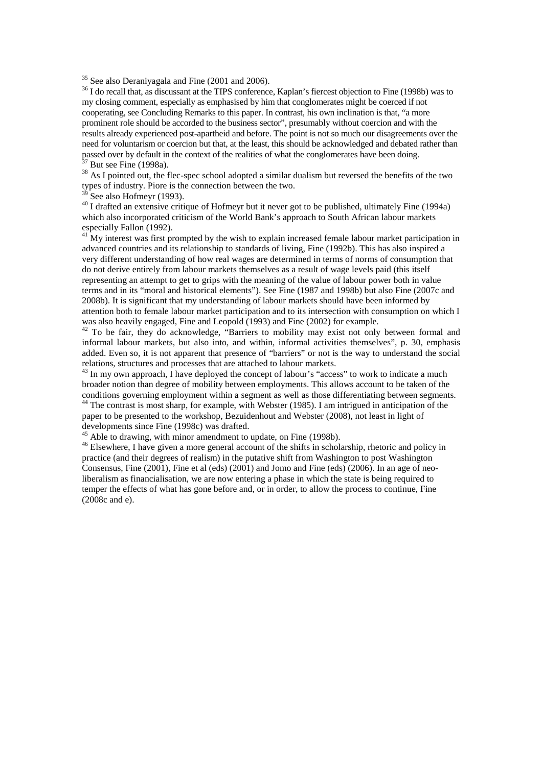$35$  See also Deraniyagala and Fine (2001 and 2006).

<sup>36</sup> I do recall that, as discussant at the TIPS conference, Kaplan's fiercest objection to Fine (1998b) was to my closing comment, especially as emphasised by him that conglomerates might be coerced if not cooperating, see Concluding Remarks to this paper. In contrast, his own inclination is that, "a more prominent role should be accorded to the business sector", presumably without coercion and with the results already experienced post-apartheid and before. The point is not so much our disagreements over the need for voluntarism or coercion but that, at the least, this should be acknowledged and debated rather than passed over by default in the context of the realities of what the conglomerates have been doing. But see Fine (1998a).

<sup>38</sup> As I pointed out, the flec-spec school adopted a similar dualism but reversed the benefits of the two types of industry. Piore is the connection between the two.

See also Hofmeyr (1993).

<sup>40</sup> I drafted an extensive critique of Hofmeyr but it never got to be published, ultimately Fine (1994a) which also incorporated criticism of the World Bank's approach to South African labour markets especially Fallon (1992).

<sup>41</sup> My interest was first prompted by the wish to explain increased female labour market participation in advanced countries and its relationship to standards of living, Fine (1992b). This has also inspired a very different understanding of how real wages are determined in terms of norms of consumption that do not derive entirely from labour markets themselves as a result of wage levels paid (this itself representing an attempt to get to grips with the meaning of the value of labour power both in value terms and in its "moral and historical elements"). See Fine (1987 and 1998b) but also Fine (2007c and 2008b). It is significant that my understanding of labour markets should have been informed by attention both to female labour market participation and to its intersection with consumption on which I was also heavily engaged, Fine and Leopold (1993) and Fine (2002) for example.

<sup>42</sup> To be fair, they do acknowledge, "Barriers to mobility may exist not only between formal and informal labour markets, but also into, and within, informal activities themselves", p. 30, emphasis added. Even so, it is not apparent that presence of "barriers" or not is the way to understand the social relations, structures and processes that are attached to labour markets.

 $^{43}$  In my own approach, I have deployed the concept of labour's "access" to work to indicate a much broader notion than degree of mobility between employments. This allows account to be taken of the conditions governing employment within a segment as well as those differentiating between segments.

<sup>44</sup> The contrast is most sharp, for example, with Webster (1985). I am intrigued in anticipation of the paper to be presented to the workshop, Bezuidenhout and Webster (2008), not least in light of developments since Fine (1998c) was drafted.

<sup>45</sup> Able to drawing, with minor amendment to update, on Fine (1998b).

<sup>46</sup> Elsewhere, I have given a more general account of the shifts in scholarship, rhetoric and policy in practice (and their degrees of realism) in the putative shift from Washington to post Washington Consensus, Fine (2001), Fine et al (eds) (2001) and Jomo and Fine (eds) (2006). In an age of neoliberalism as financialisation, we are now entering a phase in which the state is being required to temper the effects of what has gone before and, or in order, to allow the process to continue, Fine (2008c and e).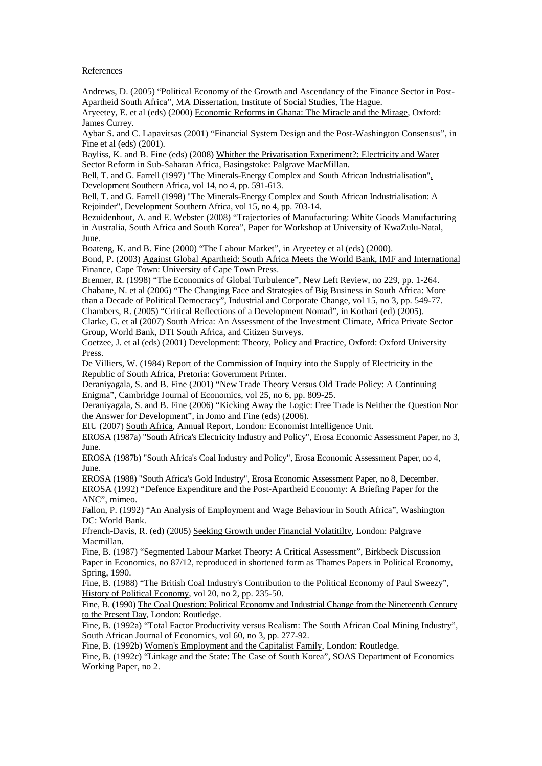## **References**

Andrews, D. (2005) "Political Economy of the Growth and Ascendancy of the Finance Sector in Post-Apartheid South Africa", MA Dissertation, Institute of Social Studies, The Hague.

Aryeetey, E. et al (eds) (2000) Economic Reforms in Ghana: The Miracle and the Mirage, Oxford: James Currey.

Aybar S. and C. Lapavitsas (2001) "Financial System Design and the Post-Washington Consensus", in Fine et al (eds) (2001).

Bayliss, K. and B. Fine (eds) (2008) Whither the Privatisation Experiment?: Electricity and Water Sector Reform in Sub-Saharan Africa, Basingstoke: Palgrave MacMillan.

Bell, T. and G. Farrell (1997) "The Minerals-Energy Complex and South African Industrialisation", Development Southern Africa, vol 14, no 4, pp. 591-613.

Bell, T. and G. Farrell (1998) "The Minerals-Energy Complex and South African Industrialisation: A Rejoinder", Development Southern Africa, vol 15, no 4, pp. 703-14.

Bezuidenhout, A. and E. Webster (2008) "Trajectories of Manufacturing: White Goods Manufacturing in Australia, South Africa and South Korea", Paper for Workshop at University of KwaZulu-Natal, June.

Boateng, K. and B. Fine (2000) "The Labour Market", in Aryeetey et al (eds) (2000).

Bond, P. (2003) Against Global Apartheid: South Africa Meets the World Bank, IMF and International Finance, Cape Town: University of Cape Town Press.

Brenner, R. (1998) "The Economics of Global Turbulence", New Left Review, no 229, pp. 1-264. Chabane, N. et al (2006) "The Changing Face and Strategies of Big Business in South Africa: More than a Decade of Political Democracy", Industrial and Corporate Change, vol 15, no 3, pp. 549-77. Chambers, R. (2005) "Critical Reflections of a Development Nomad", in Kothari (ed) (2005).

Clarke, G. et al (2007) South Africa: An Assessment of the Investment Climate, Africa Private Sector Group, World Bank, DTI South Africa, and Citizen Surveys.

Coetzee, J. et al (eds) (2001) Development: Theory, Policy and Practice, Oxford: Oxford University Press.

De Villiers, W. (1984) Report of the Commission of Inquiry into the Supply of Electricity in the Republic of South Africa, Pretoria: Government Printer.

Deraniyagala, S. and B. Fine (2001) "New Trade Theory Versus Old Trade Policy: A Continuing Enigma", Cambridge Journal of Economics, vol 25, no 6, pp. 809-25.

Deraniyagala, S. and B. Fine (2006) "Kicking Away the Logic: Free Trade is Neither the Question Nor the Answer for Development", in Jomo and Fine (eds) (2006).

EIU (2007) South Africa, Annual Report, London: Economist Intelligence Unit.

EROSA (1987a) "South Africa's Electricity Industry and Policy", Erosa Economic Assessment Paper, no 3, June.

EROSA (1987b) "South Africa's Coal Industry and Policy", Erosa Economic Assessment Paper, no 4, June.

EROSA (1988) "South Africa's Gold Industry", Erosa Economic Assessment Paper, no 8, December. EROSA (1992) "Defence Expenditure and the Post-Apartheid Economy: A Briefing Paper for the ANC", mimeo.

Fallon, P. (1992) "An Analysis of Employment and Wage Behaviour in South Africa", Washington DC: World Bank.

Ffrench-Davis, R. (ed) (2005) Seeking Growth under Financial Volatitilty, London: Palgrave Macmillan.

Fine, B. (1987) "Segmented Labour Market Theory: A Critical Assessment", Birkbeck Discussion Paper in Economics, no 87/12, reproduced in shortened form as Thames Papers in Political Economy, Spring, 1990.

Fine, B. (1988) "The British Coal Industry's Contribution to the Political Economy of Paul Sweezy", History of Political Economy, vol 20, no 2, pp. 235-50.

Fine, B. (1990) The Coal Question: Political Economy and Industrial Change from the Nineteenth Century to the Present Day, London: Routledge.

Fine, B. (1992a) "Total Factor Productivity versus Realism: The South African Coal Mining Industry", South African Journal of Economics, vol 60, no 3, pp. 277-92.

Fine, B. (1992b) Women's Employment and the Capitalist Family, London: Routledge.

Fine, B. (1992c) "Linkage and the State: The Case of South Korea", SOAS Department of Economics Working Paper, no 2.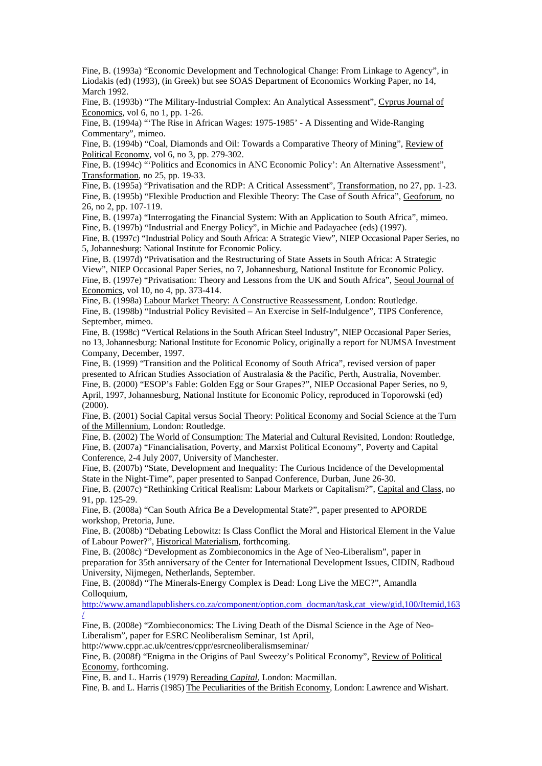Fine, B. (1993a) "Economic Development and Technological Change: From Linkage to Agency", in Liodakis (ed) (1993), (in Greek) but see SOAS Department of Economics Working Paper, no 14, March 1992.

Fine, B. (1993b) "The Military-Industrial Complex: An Analytical Assessment", Cyprus Journal of Economics, vol 6, no 1, pp. 1-26.

Fine, B. (1994a) "'The Rise in African Wages: 1975-1985' - A Dissenting and Wide-Ranging Commentary", mimeo.

Fine, B. (1994b) "Coal, Diamonds and Oil: Towards a Comparative Theory of Mining", Review of Political Economy, vol 6, no 3, pp. 279-302.

Fine, B. (1994c) "Politics and Economics in ANC Economic Policy': An Alternative Assessment", Transformation, no 25, pp. 19-33.

Fine, B. (1995a) "Privatisation and the RDP: A Critical Assessment", Transformation, no 27, pp. 1-23. Fine, B. (1995b) "Flexible Production and Flexible Theory: The Case of South Africa", Geoforum, no 26, no 2, pp. 107-119.

Fine, B. (1997a) "Interrogating the Financial System: With an Application to South Africa", mimeo. Fine, B. (1997b) "Industrial and Energy Policy", in Michie and Padayachee (eds) (1997).

Fine, B. (1997c) "Industrial Policy and South Africa: A Strategic View", NIEP Occasional Paper Series, no 5, Johannesburg: National Institute for Economic Policy.

Fine, B. (1997d) "Privatisation and the Restructuring of State Assets in South Africa: A Strategic View", NIEP Occasional Paper Series, no 7, Johannesburg, National Institute for Economic Policy. Fine, B. (1997e) "Privatisation: Theory and Lessons from the UK and South Africa", Seoul Journal of Economics, vol 10, no 4, pp. 373-414.

Fine, B. (1998a) Labour Market Theory: A Constructive Reassessment, London: Routledge. Fine, B. (1998b) "Industrial Policy Revisited – An Exercise in Self-Indulgence", TIPS Conference, September, mimeo.

Fine, B. (1998c) "Vertical Relations in the South African Steel Industry", NIEP Occasional Paper Series, no 13, Johannesburg: National Institute for Economic Policy, originally a report for NUMSA Investment Company, December, 1997.

Fine, B. (1999) "Transition and the Political Economy of South Africa", revised version of paper presented to African Studies Association of Australasia & the Pacific, Perth, Australia, November. Fine, B. (2000) "ESOP's Fable: Golden Egg or Sour Grapes?", NIEP Occasional Paper Series, no 9, April, 1997, Johannesburg, National Institute for Economic Policy, reproduced in Toporowski (ed) (2000).

Fine, B. (2001) Social Capital versus Social Theory: Political Economy and Social Science at the Turn of the Millennium, London: Routledge.

Fine, B. (2002) The World of Consumption: The Material and Cultural Revisited, London: Routledge, Fine, B. (2007a) "Financialisation, Poverty, and Marxist Political Economy", Poverty and Capital Conference, 2-4 July 2007, University of Manchester.

Fine, B. (2007b) "State, Development and Inequality: The Curious Incidence of the Developmental State in the Night-Time", paper presented to Sanpad Conference, Durban, June 26-30.

Fine, B. (2007c) "Rethinking Critical Realism: Labour Markets or Capitalism?", Capital and Class, no 91, pp. 125-29.

Fine, B. (2008a) "Can South Africa Be a Developmental State?", paper presented to APORDE workshop, Pretoria, June.

Fine, B. (2008b) "Debating Lebowitz: Is Class Conflict the Moral and Historical Element in the Value of Labour Power?", Historical Materialism, forthcoming.

Fine, B. (2008c) "Development as Zombieconomics in the Age of Neo-Liberalism", paper in preparation for 35th anniversary of the Center for International Development Issues, CIDIN, Radboud University, Nijmegen, Netherlands, September.

Fine, B. (2008d) "The Minerals-Energy Complex is Dead: Long Live the MEC?", Amandla Colloquium.

http://www.amandlapublishers.co.za/component/option,com\_docman/task,cat\_view/gid,100/Itemid,163 /

Fine, B. (2008e) "Zombieconomics: The Living Death of the Dismal Science in the Age of Neo-Liberalism", paper for ESRC Neoliberalism Seminar, 1st April, http://www.cppr.ac.uk/centres/cppr/esrcneoliberalismseminar/

Fine, B. (2008f) "Enigma in the Origins of Paul Sweezy's Political Economy", Review of Political

Economy, forthcoming.

Fine, B. and L. Harris (1979) Rereading *Capital*, London: Macmillan.

Fine, B. and L. Harris (1985) The Peculiarities of the British Economy, London: Lawrence and Wishart.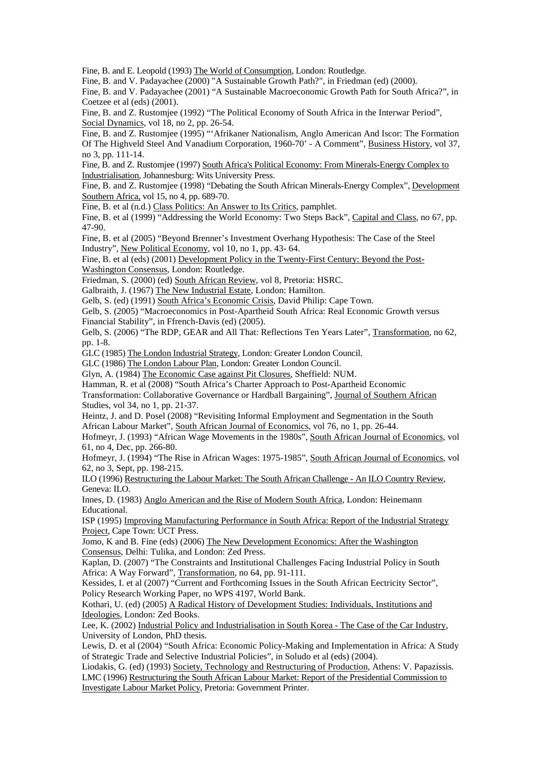Fine, B. and E. Leopold (1993) The World of Consumption, London: Routledge.

Fine, B. and V. Padayachee (2000) "A Sustainable Growth Path?", in Friedman (ed) (2000).

Fine, B. and V. Padayachee (2001) "A Sustainable Macroeconomic Growth Path for South Africa?", in Coetzee et al (eds) (2001).

Fine, B. and Z. Rustomjee (1992) "The Political Economy of South Africa in the Interwar Period", Social Dynamics, vol 18, no 2, pp. 26-54.

Fine, B. and Z. Rustomjee (1995) "'Afrikaner Nationalism, Anglo American And Iscor: The Formation Of The Highveld Steel And Vanadium Corporation, 1960-70' - A Comment", Business History, vol 37, no 3, pp. 111-14.

Fine, B. and Z. Rustomjee (1997) South Africa's Political Economy: From Minerals-Energy Complex to Industrialisation, Johannesburg: Wits University Press.

Fine, B. and Z. Rustomjee (1998) "Debating the South African Minerals-Energy Complex", Development Southern Africa, vol 15, no 4, pp. 689-70.

Fine, B. et al (n.d.) Class Politics: An Answer to Its Critics, pamphlet.

Fine, B. et al (1999) "Addressing the World Economy: Two Steps Back", Capital and Class, no 67, pp. 47-90.

Fine, B. et al (2005) "Beyond Brenner's Investment Overhang Hypothesis: The Case of the Steel Industry", New Political Economy, vol 10, no 1, pp. 43- 64.

Fine, B. et al (eds) (2001) Development Policy in the Twenty-First Century: Beyond the Post-Washington Consensus, London: Routledge.

Friedman, S. (2000) (ed) South African Review, vol 8, Pretoria: HSRC.

Galbraith, J. (1967) The New Industrial Estate, London: Hamilton. Gelb, S. (ed) (1991) South Africa's Economic Crisis, David Philip: Cape Town.

Gelb, S. (2005) "Macroeconomics in Post-Apartheid South Africa: Real Economic Growth versus Financial Stability", in Ffrench-Davis (ed) (2005).

Gelb, S. (2006) "The RDP, GEAR and All That: Reflections Ten Years Later", Transformation, no 62, pp. 1-8.

GLC (1985) The London Industrial Strategy, London: Greater London Council.

GLC (1986) The London Labour Plan, London: Greater London Council.

Glyn, A. (1984) The Economic Case against Pit Closures, Sheffield: NUM.

Hamman, R. et al (2008) "South Africa's Charter Approach to Post-Apartheid Economic

Transformation: Collaborative Governance or Hardball Bargaining", Journal of Southern African Studies, vol 34, no 1, pp. 21-37.

Heintz, J. and D. Posel (2008) "Revisiting Informal Employment and Segmentation in the South African Labour Market", South African Journal of Economics, vol 76, no 1, pp. 26-44.

Hofmeyr, J. (1993) "African Wage Movements in the 1980s", South African Journal of Economics, vol 61, no 4, Dec, pp. 266-80.

Hofmeyr, J. (1994) "The Rise in African Wages: 1975-1985", South African Journal of Economics, vol 62, no 3, Sept, pp. 198-215.

ILO (1996) Restructuring the Labour Market: The South African Challenge - An ILO Country Review, Geneva: ILO.

Innes, D. (1983) Anglo American and the Rise of Modern South Africa, London: Heinemann Educational.

ISP (1995) Improving Manufacturing Performance in South Africa: Report of the Industrial Strategy Project, Cape Town: UCT Press.

Jomo, K and B. Fine (eds) (2006) The New Development Economics: After the Washington Consensus, Delhi: Tulika, and London: Zed Press.

Kaplan, D. (2007) "The Constraints and Institutional Challenges Facing Industrial Policy in South Africa: A Way Forward", Transformation, no 64, pp. 91-111.

Kessides, I. et al (2007) "Current and Forthcoming Issues in the South African Eectricity Sector", Policy Research Working Paper, no WPS 4197, World Bank.

Kothari, U. (ed) (2005) A Radical History of Development Studies: Individuals, Institutions and Ideologies, London: Zed Books.

Lee, K. (2002) Industrial Policy and Industrialisation in South Korea - The Case of the Car Industry, University of London, PhD thesis.

Lewis, D. et al (2004) "South Africa: Economic Policy-Making and Implementation in Africa: A Study of Strategic Trade and Selective Industrial Policies", in Soludo et al (eds) (2004).

Liodakis, G. (ed) (1993) Society, Technology and Restructuring of Production, Athens: V. Papazissis. LMC (1996) Restructuring the South African Labour Market: Report of the Presidential Commission to Investigate Labour Market Policy, Pretoria: Government Printer.